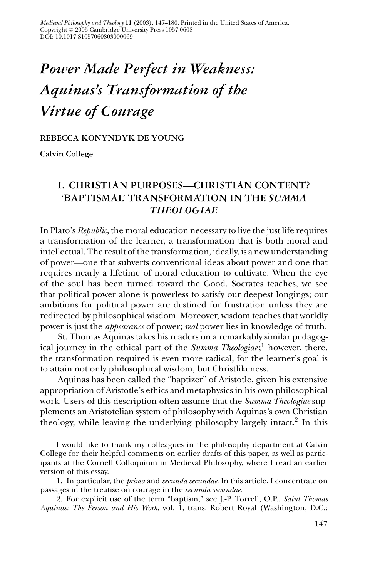# *Power Made Perfect in Weakness: Aquinas's Transformation of the Virtue of Courage*

**REBECCA KONYNDYK DE YOUNG**

**Calvin College**

# **I. CHRISTIAN PURPOSES—CHRISTIAN CONTENT? 'BAPTISMAL' TRANSFORMATION IN THE** *SUMMA THEOLOGIAE*

In Plato's *Republic*, the moral education necessary to live the just life requires a transformation of the learner, a transformation that is both moral and intellectual. The result of the transformation, ideally, is a new understanding of power—one that subverts conventional ideas about power and one that requires nearly a lifetime of moral education to cultivate. When the eye of the soul has been turned toward the Good, Socrates teaches, we see that political power alone is powerless to satisfy our deepest longings; our ambitions for political power are destined for frustration unless they are redirected by philosophical wisdom. Moreover, wisdom teaches that worldly power is just the *appearance* of power; *real* power lies in knowledge of truth.

St. Thomas Aquinas takes his readers on a remarkably similar pedagogical journey in the ethical part of the *Summa Theologiae*; <sup>1</sup> however, there, the transformation required is even more radical, for the learner's goal is to attain not only philosophical wisdom, but Christlikeness.

Aquinas has been called the "baptizer" of Aristotle, given his extensive appropriation of Aristotle's ethics and metaphysics in his own philosophical work. Users of this description often assume that the *Summa Theologiae* supplements an Aristotelian system of philosophy with Aquinas's own Christian theology, while leaving the underlying philosophy largely intact.<sup>2</sup> In this

I would like to thank my colleagues in the philosophy department at Calvin College for their helpful comments on earlier drafts of this paper, as well as participants at the Cornell Colloquium in Medieval Philosophy, where I read an earlier version of this essay.

1. In particular, the *prima* and *secunda secundae*. In this article, I concentrate on passages in the treatise on courage in the *secunda secundae*.

2. For explicit use of the term "baptism," see J.-P. Torrell, O.P., *Saint Thomas Aquinas: The Person and His Work*, vol. 1, trans. Robert Royal (Washington, D.C.: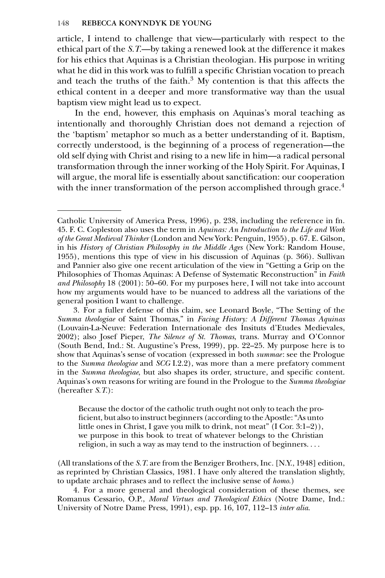article, I intend to challenge that view—particularly with respect to the ethical part of the *S.T.*—by taking a renewed look at the difference it makes for his ethics that Aquinas is a Christian theologian. His purpose in writing what he did in this work was to fulfill a specific Christian vocation to preach and teach the truths of the faith. $3$  My contention is that this affects the ethical content in a deeper and more transformative way than the usual baptism view might lead us to expect.

In the end, however, this emphasis on Aquinas's moral teaching as intentionally and thoroughly Christian does not demand a rejection of the 'baptism' metaphor so much as a better understanding of it. Baptism, correctly understood, is the beginning of a process of regeneration—the old self dying with Christ and rising to a new life in him—a radical personal transformation through the inner working of the Holy Spirit. For Aquinas, I will argue, the moral life is essentially about sanctification: our cooperation with the inner transformation of the person accomplished through grace.<sup>4</sup>

Because the doctor of the catholic truth ought not only to teach the proficient, but also to instruct beginners (according to the Apostle: "As unto little ones in Christ, I gave you milk to drink, not meat" (I Cor. 3:1–2)), we purpose in this book to treat of whatever belongs to the Christian religion, in such a way as may tend to the instruction of beginners. . . .

(All translations of the *S.T.* are from the Benziger Brothers, Inc. [N.Y., 1948] edition, as reprinted by Christian Classics, 1981. I have only altered the translation slightly, to update archaic phrases and to reflect the inclusive sense of *homo*.)

4. For a more general and theological consideration of these themes, see Romanus Cessario, O.P., *Moral Virtues and Theological Ethics* (Notre Dame, Ind.: University of Notre Dame Press, 1991), esp. pp. 16, 107, 112–13 *inter alia*.

Catholic University of America Press, 1996), p. 238, including the reference in fn. 45. F. C. Copleston also uses the term in *Aquinas: An Introduction to the Life and Work of the Great Medieval Thinker* (London and New York: Penguin, 1955), p. 67. E. Gilson, in his *History of Christian Philosophy in the Middle Ages* (New York: Random House, 1955), mentions this type of view in his discussion of Aquinas (p. 366). Sullivan and Pannier also give one recent articulation of the view in "Getting a Grip on the Philosophies of Thomas Aquinas: A Defense of Systematic Reconstruction" in *Faith and Philosophy* 18 (2001): 50–60. For my purposes here, I will not take into account how my arguments would have to be nuanced to address all the variations of the general position I want to challenge.

<sup>3.</sup> For a fuller defense of this claim, see Leonard Boyle, "The Setting of the *Summa theologiae* of Saint Thomas," in *Facing History: A Different Thomas Aquinas* (Louvain-La-Neuve: Federation Internationale des Insituts d'Etudes Medievales, 2002); also Josef Pieper, *The Silence of St. Thomas*, trans. Murray and O'Connor (South Bend, Ind.: St. Augustine's Press, 1999), pp. 22–25. My purpose here is to show that Aquinas's sense of vocation (expressed in both *summae*: see the Prologue to the *Summa theologiae* and *SCG* I.2.2), was more than a mere prefatory comment in the *Summa theologiae*, but also shapes its order, structure, and specific content. Aquinas's own reasons for writing are found in the Prologue to the *Summa theologiae* (hereafter *S.T.*):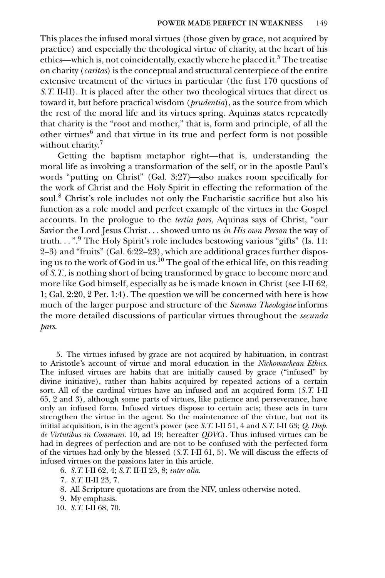This places the infused moral virtues (those given by grace, not acquired by practice) and especially the theological virtue of charity, at the heart of his ethics—which is, not coincidentally, exactly where he placed it.<sup>5</sup> The treatise on charity (*caritas*) is the conceptual and structural centerpiece of the entire extensive treatment of the virtues in particular (the first 170 questions of *S.T.* II-II). It is placed after the other two theological virtues that direct us toward it, but before practical wisdom (*prudentia*), as the source from which the rest of the moral life and its virtues spring. Aquinas states repeatedly that charity is the "root and mother," that is, form and principle, of all the other virtues $6$  and that virtue in its true and perfect form is not possible without charity.<sup>7</sup>

Getting the baptism metaphor right—that is, understanding the moral life as involving a transformation of the self, or in the apostle Paul's words "putting on Christ" (Gal. 3:27)—also makes room specifically for the work of Christ and the Holy Spirit in effecting the reformation of the soul.<sup>8</sup> Christ's role includes not only the Eucharistic sacrifice but also his function as a role model and perfect example of the virtues in the Gospel accounts. In the prologue to the *tertia pars*, Aquinas says of Christ, "our Savior the Lord Jesus Christ . . . showed unto us *in His own Person* the way of truth. . . ".<sup>9</sup> The Holy Spirit's role includes bestowing various "gifts" (Is. 11: 2–3) and "fruits" (Gal. 6:22–23), which are additional graces further disposing us to the work of God in us.<sup>10</sup> The goal of the ethical life, on this reading of *S.T.*, is nothing short of being transformed by grace to become more and more like God himself, especially as he is made known in Christ (see I-II 62, 1; Gal. 2:20, 2 Pet. 1:4). The question we will be concerned with here is how much of the larger purpose and structure of the *Summa Theologiae* informs the more detailed discussions of particular virtues throughout the *secunda pars*.

5. The virtues infused by grace are not acquired by habituation, in contrast to Aristotle's account of virtue and moral education in the *Nichomachean Ethics*. The infused virtues are habits that are initially caused by grace ("infused" by divine initiative), rather than habits acquired by repeated actions of a certain sort. All of the cardinal virtues have an infused and an acquired form (*S.T.* I-II 65, 2 and 3), although some parts of virtues, like patience and perseverance, have only an infused form. Infused virtues dispose to certain acts; these acts in turn strengthen the virtue in the agent. So the maintenance of the virtue, but not its initial acquisition, is in the agent's power (see *S.T.* I-II 51, 4 and *S.T.* I-II 63; *Q. Disp. de Virtutibus in Communi.* 10, ad 19; hereafter *QDVC*). Thus infused virtues can be had in degrees of perfection and are not to be confused with the perfected form of the virtues had only by the blessed (*S.T.* I-II 61, 5). We will discuss the effects of infused virtues on the passions later in this article.

- 6. *S.T.* I-II 62, 4; *S.T.* II-II 23, 8; *inter alia.*
- 7. *S.T.* II-II 23, 7.
- 8. All Scripture quotations are from the NIV, unless otherwise noted.
- 9. My emphasis.
- 10. *S.T.* I-II 68, 70.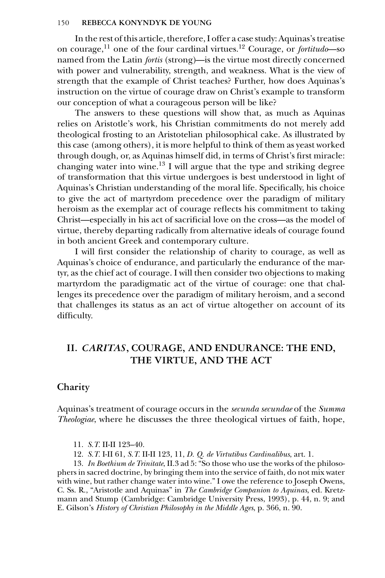In the rest of this article, therefore, I offer a case study: Aquinas's treatise on courage,<sup>11</sup> one of the four cardinal virtues.12 Courage, or *fortitudo*—so named from the Latin *fortis* (strong)—is the virtue most directly concerned with power and vulnerability, strength, and weakness. What is the view of strength that the example of Christ teaches? Further, how does Aquinas's instruction on the virtue of courage draw on Christ's example to transform our conception of what a courageous person will be like?

The answers to these questions will show that, as much as Aquinas relies on Aristotle's work, his Christian commitments do not merely add theological frosting to an Aristotelian philosophical cake. As illustrated by this case (among others), it is more helpful to think of them as yeast worked through dough, or, as Aquinas himself did, in terms of Christ's first miracle: changing water into wine.<sup>13</sup> I will argue that the type and striking degree of transformation that this virtue undergoes is best understood in light of Aquinas's Christian understanding of the moral life. Specifically, his choice to give the act of martyrdom precedence over the paradigm of military heroism as the exemplar act of courage reflects his commitment to taking Christ—especially in his act of sacrificial love on the cross—as the model of virtue, thereby departing radically from alternative ideals of courage found in both ancient Greek and contemporary culture.

I will first consider the relationship of charity to courage, as well as Aquinas's choice of endurance, and particularly the endurance of the martyr, as the chief act of courage. I will then consider two objections to making martyrdom the paradigmatic act of the virtue of courage: one that challenges its precedence over the paradigm of military heroism, and a second that challenges its status as an act of virtue altogether on account of its difficulty.

# **II.** *CARITAS***, COURAGE, AND ENDURANCE: THE END, THE VIRTUE, AND THE ACT**

## **Charity**

Aquinas's treatment of courage occurs in the *secunda secundae* of the *Summa Theologiae*, where he discusses the three theological virtues of faith, hope,

11. *S.T.* II-II 123–40.

12. *S.T.* I-II 61, *S.T.* II-II 123, 11, *D. Q. de Virtutibus Cardinalibus*, art. 1.

13. *In Boethium de Trinitate*, II.3 ad 5: "So those who use the works of the philosophers in sacred doctrine, by bringing them into the service of faith, do not mix water with wine, but rather change water into wine." I owe the reference to Joseph Owens, C. Ss. R., "Aristotle and Aquinas" in *The Cambridge Companion to Aquinas*, ed. Kretzmann and Stump (Cambridge: Cambridge University Press, 1993), p. 44, n. 9; and E. Gilson's *History of Christian Philosophy in the Middle Ages*, p. 366, n. 90.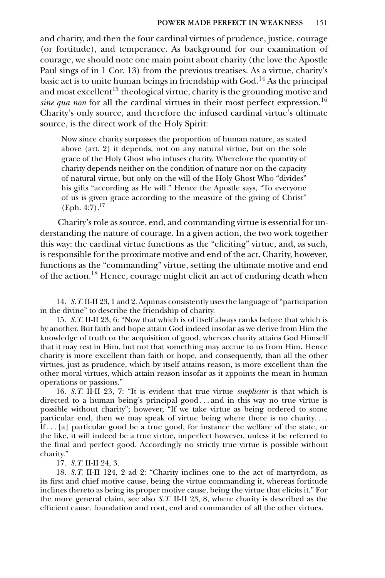and charity, and then the four cardinal virtues of prudence, justice, courage (or fortitude), and temperance. As background for our examination of courage, we should note one main point about charity (the love the Apostle Paul sings of in 1 Cor. 13) from the previous treatises. As a virtue, charity's basic act is to unite human beings in friendship with  $God.^{14}$  As the principal and most excellent<sup>15</sup> theological virtue, charity is the grounding motive and *sine qua non* for all the cardinal virtues in their most perfect expression.<sup>16</sup> Charity's only source, and therefore the infused cardinal virtue's ultimate source, is the direct work of the Holy Spirit:

Now since charity surpasses the proportion of human nature, as stated above (art. 2) it depends, not on any natural virtue, but on the sole grace of the Holy Ghost who infuses charity. Wherefore the quantity of charity depends neither on the condition of nature nor on the capacity of natural virtue, but only on the will of the Holy Ghost Who "divides" his gifts "according as He will." Hence the Apostle says, "To everyone of us is given grace according to the measure of the giving of Christ"  $(Eph. 4:7).<sup>17</sup>$ 

Charity's role as source, end, and commanding virtue is essential for understanding the nature of courage. In a given action, the two work together this way: the cardinal virtue functions as the "eliciting" virtue, and, as such, is responsible for the proximate motive and end of the act. Charity, however, functions as the "commanding" virtue, setting the ultimate motive and end of the action.<sup>18</sup> Hence, courage might elicit an act of enduring death when

14. *S.T.*II-II 23, 1 and 2. Aquinas consistently uses the language of "participation in the divine" to describe the friendship of charity.

15. *S.T.* II-II 23, 6: "Now that which is of itself always ranks before that which is by another. But faith and hope attain God indeed insofar as we derive from Him the knowledge of truth or the acquisition of good, whereas charity attains God Himself that it may rest in Him, but not that something may accrue to us from Him. Hence charity is more excellent than faith or hope, and consequently, than all the other virtues, just as prudence, which by itself attains reason, is more excellent than the other moral virtues, which attain reason insofar as it appoints the mean in human operations or passions."

16. *S.T.* II-II 23, 7: "It is evident that true virtue *simpliciter* is that which is directed to a human being's principal good . . . and in this way no true virtue is possible without charity"; however, "If we take virtue as being ordered to some particular end, then we may speak of virtue being where there is no charity. . . . If ... [a] particular good be a true good, for instance the welfare of the state, or the like, it will indeed be a true virtue, imperfect however, unless it be referred to the final and perfect good. Accordingly no strictly true virtue is possible without charity."

17. *S.T.* II-II 24, 3.

18. *S.T.* II-II 124, 2 ad 2: "Charity inclines one to the act of martyrdom, as its first and chief motive cause, being the virtue commanding it, whereas fortitude inclines thereto as being its proper motive cause, being the virtue that elicits it." For the more general claim, see also *S.T.* II-II 23, 8, where charity is described as the efficient cause, foundation and root, end and commander of all the other virtues.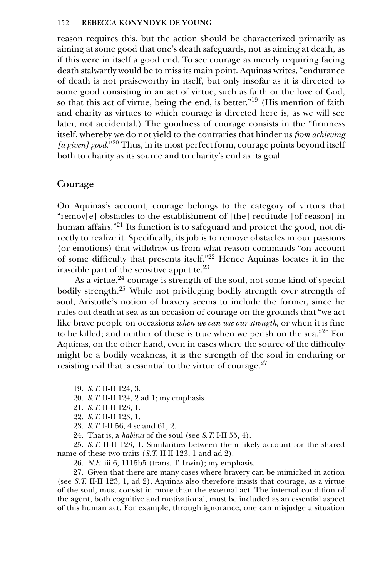reason requires this, but the action should be characterized primarily as aiming at some good that one's death safeguards, not as aiming at death, as if this were in itself a good end. To see courage as merely requiring facing death stalwartly would be to miss its main point. Aquinas writes, "endurance of death is not praiseworthy in itself, but only insofar as it is directed to some good consisting in an act of virtue, such as faith or the love of God, so that this act of virtue, being the end, is better."19 (His mention of faith and charity as virtues to which courage is directed here is, as we will see later, not accidental.) The goodness of courage consists in the "firmness itself, whereby we do not yield to the contraries that hinder us *from achieving [a given] good.*"<sup>20</sup> Thus, in its most perfect form, courage points beyond itself both to charity as its source and to charity's end as its goal.

## **Courage**

On Aquinas's account, courage belongs to the category of virtues that "remov[e] obstacles to the establishment of [the] rectitude [of reason] in human affairs."21 Its function is to safeguard and protect the good, not directly to realize it. Specifically, its job is to remove obstacles in our passions (or emotions) that withdraw us from what reason commands "on account of some difficulty that presents itself."22 Hence Aquinas locates it in the irascible part of the sensitive appetite. $23$ 

As a virtue,  $^{24}$  courage is strength of the soul, not some kind of special bodily strength.25 While not privileging bodily strength over strength of soul, Aristotle's notion of bravery seems to include the former, since he rules out death at sea as an occasion of courage on the grounds that "we act like brave people on occasions *when we can use our strength*, or when it is fine to be killed; and neither of these is true when we perish on the sea."<sup>26</sup> For Aquinas, on the other hand, even in cases where the source of the difficulty might be a bodily weakness, it is the strength of the soul in enduring or resisting evil that is essential to the virtue of courage.<sup>27</sup>

19. *S.T.* II-II 124, 3.

- 20. *S.T.* II-II 124, 2 ad 1; my emphasis.
- 21. *S.T.* II-II 123, 1.
- 22. *S.T.* II-II 123, 1.
- 23. *S.T.* I-II 56, 4 sc and 61, 2.
- 24. That is, a *habitus* of the soul (see *S.T.* I-II 55, 4).

25. *S.T.* II-II 123, 1. Similarities between them likely account for the shared name of these two traits (*S.T.* II-II 123, 1 and ad 2).

26. *N.E.* iii.6, 1115b5 (trans. T. Irwin); my emphasis.

27. Given that there are many cases where bravery can be mimicked in action (see *S.T.* II-II 123, 1, ad 2), Aquinas also therefore insists that courage, as a virtue of the soul, must consist in more than the external act. The internal condition of the agent, both cognitive and motivational, must be included as an essential aspect of this human act. For example, through ignorance, one can misjudge a situation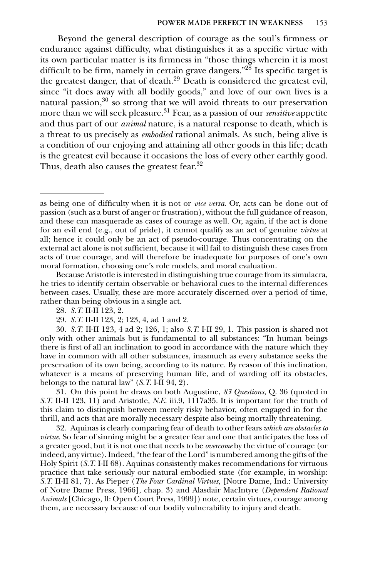Beyond the general description of courage as the soul's firmness or endurance against difficulty, what distinguishes it as a specific virtue with its own particular matter is its firmness in "those things wherein it is most difficult to be firm, namely in certain grave dangers.<sup>"28</sup> Its specific target is the greatest danger, that of death.<sup>29</sup> Death is considered the greatest evil, since "it does away with all bodily goods," and love of our own lives is a natural passion, $30$  so strong that we will avoid threats to our preservation more than we will seek pleasure.<sup>31</sup> Fear, as a passion of our *sensitive* appetite and thus part of our *animal* nature, is a natural response to death, which is a threat to us precisely as *embodied* rational animals. As such, being alive is a condition of our enjoying and attaining all other goods in this life; death is the greatest evil because it occasions the loss of every other earthly good. Thus, death also causes the greatest fear.<sup>32</sup>

Because Aristotle is interested in distinguishing true courage from its simulacra, he tries to identify certain observable or behavioral cues to the internal differences between cases. Usually, these are more accurately discerned over a period of time, rather than being obvious in a single act.

30. *S.T.* II-II 123, 4 ad 2; 126, 1; also *S.T.* I-II 29, 1. This passion is shared not only with other animals but is fundamental to all substances: "In human beings there is first of all an inclination to good in accordance with the nature which they have in common with all other substances, inasmuch as every substance seeks the preservation of its own being, according to its nature. By reason of this inclination, whatever is a means of preserving human life, and of warding off its obstacles, belongs to the natural law" (*S.T.* I-II 94, 2).

31. On this point he draws on both Augustine, *83 Questions*, Q. 36 (quoted in *S.T.* II-II 123, 11) and Aristotle, *N.E.* iii.9, 1117a35. It is important for the truth of this claim to distinguish between merely risky behavior, often engaged in for the thrill, and acts that are morally necessary despite also being mortally threatening.

32. Aquinas is clearly comparing fear of death to other fears *which are obstacles to virtue*. So fear of sinning might be a greater fear and one that anticipates the loss of a greater good, but it is not one that needs to be *overcome* by the virtue of courage (or indeed, any virtue). Indeed, "the fear of the Lord" is numbered among the gifts of the Holy Spirit (*S.T.* I-II 68). Aquinas consistently makes recommendations for virtuous practice that take seriously our natural embodied state (for example, in worship: *S.T.* II-II 81, 7). As Pieper (*The Four Cardinal Virtues*, [Notre Dame, Ind.: University of Notre Dame Press, 1966], chap. 3) and Alasdair MacIntyre (*Dependent Rational Animals* [Chicago, Il: Open Court Press, 1999]) note, certain virtues, courage among them, are necessary because of our bodily vulnerability to injury and death.

as being one of difficulty when it is not or *vice versa*. Or, acts can be done out of passion (such as a burst of anger or frustration), without the full guidance of reason, and these can masquerade as cases of courage as well. Or, again, if the act is done for an evil end (e.g., out of pride), it cannot qualify as an act of genuine *virtue* at all; hence it could only be an act of pseudo-courage. Thus concentrating on the external act alone is not sufficient, because it will fail to distinguish these cases from acts of true courage, and will therefore be inadequate for purposes of one's own moral formation, choosing one's role models, and moral evaluation.

<sup>28.</sup> *S.T.* II-II 123, 2.

<sup>29.</sup> *S.T.* II-II 123, 2; 123, 4, ad 1 and 2.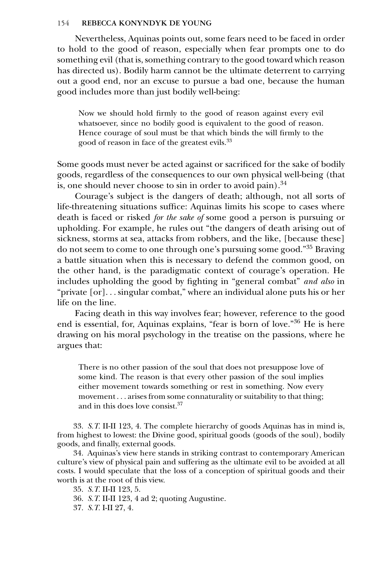Nevertheless, Aquinas points out, some fears need to be faced in order to hold to the good of reason, especially when fear prompts one to do something evil (that is, something contrary to the good toward which reason has directed us). Bodily harm cannot be the ultimate deterrent to carrying out a good end, nor an excuse to pursue a bad one, because the human good includes more than just bodily well-being:

Now we should hold firmly to the good of reason against every evil whatsoever, since no bodily good is equivalent to the good of reason. Hence courage of soul must be that which binds the will firmly to the good of reason in face of the greatest evils.33

Some goods must never be acted against or sacrificed for the sake of bodily goods, regardless of the consequences to our own physical well-being (that is, one should never choose to sin in order to avoid pain).  $34$ 

Courage's subject is the dangers of death; although, not all sorts of life-threatening situations suffice: Aquinas limits his scope to cases where death is faced or risked *for the sake of* some good a person is pursuing or upholding. For example, he rules out "the dangers of death arising out of sickness, storms at sea, attacks from robbers, and the like, [because these] do not seem to come to one through one's pursuing some good."35 Braving a battle situation when this is necessary to defend the common good, on the other hand, is the paradigmatic context of courage's operation. He includes upholding the good by fighting in "general combat" *and also* in "private [or]. . . singular combat," where an individual alone puts his or her life on the line.

Facing death in this way involves fear; however, reference to the good end is essential, for, Aquinas explains, "fear is born of love."36 He is here drawing on his moral psychology in the treatise on the passions, where he argues that:

There is no other passion of the soul that does not presuppose love of some kind. The reason is that every other passion of the soul implies either movement towards something or rest in something. Now every movement . . . arises from some connaturality or suitability to that thing; and in this does love consist.<sup>37</sup>

33. *S.T.* II-II 123, 4. The complete hierarchy of goods Aquinas has in mind is, from highest to lowest: the Divine good, spiritual goods (goods of the soul), bodily goods, and finally, external goods.

34. Aquinas's view here stands in striking contrast to contemporary American culture's view of physical pain and suffering as the ultimate evil to be avoided at all costs. I would speculate that the loss of a conception of spiritual goods and their worth is at the root of this view.

35. *S.T.* II-II 123, 5.

36. *S.T.* II-II 123, 4 ad 2; quoting Augustine.

37. *S.T.* I-II 27, 4.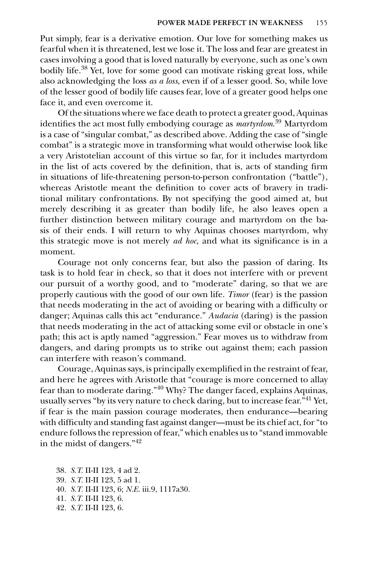Put simply, fear is a derivative emotion. Our love for something makes us fearful when it is threatened, lest we lose it. The loss and fear are greatest in cases involving a good that is loved naturally by everyone, such as one's own bodily life.<sup>38</sup> Yet, love for some good can motivate risking great loss, while also acknowledging the loss *as a loss*, even if of a lesser good. So, while love of the lesser good of bodily life causes fear, love of a greater good helps one face it, and even overcome it.

Of the situations where we face death to protect a greater good, Aquinas identifies the act most fully embodying courage as *martyrdom*. <sup>39</sup> Martyrdom is a case of "singular combat," as described above. Adding the case of "single combat" is a strategic move in transforming what would otherwise look like a very Aristotelian account of this virtue so far, for it includes martyrdom in the list of acts covered by the definition, that is, acts of standing firm in situations of life-threatening person-to-person confrontation ("battle"), whereas Aristotle meant the definition to cover acts of bravery in traditional military confrontations. By not specifying the good aimed at, but merely describing it as greater than bodily life, he also leaves open a further distinction between military courage and martyrdom on the basis of their ends. I will return to why Aquinas chooses martyrdom, why this strategic move is not merely *ad hoc*, and what its significance is in a moment.

Courage not only concerns fear, but also the passion of daring. Its task is to hold fear in check, so that it does not interfere with or prevent our pursuit of a worthy good, and to "moderate" daring, so that we are properly cautious with the good of our own life. *Timor* (fear) is the passion that needs moderating in the act of avoiding or bearing with a difficulty or danger; Aquinas calls this act "endurance." *Audacia* (daring) is the passion that needs moderating in the act of attacking some evil or obstacle in one's path; this act is aptly named "aggression." Fear moves us to withdraw from dangers, and daring prompts us to strike out against them; each passion can interfere with reason's command.

Courage, Aquinas says, is principally exemplified in the restraint of fear, and here he agrees with Aristotle that "courage is more concerned to allay fear than to moderate daring."40 Why? The danger faced, explains Aquinas, usually serves "by its very nature to check daring, but to increase fear."<sup>41</sup> Yet, if fear is the main passion courage moderates, then endurance—bearing with difficulty and standing fast against danger—must be its chief act, for "to endure follows the repression of fear," which enables us to "stand immovable in the midst of dangers." $42$ 

38. *S.T.* II-II 123, 4 ad 2. 39. *S.T.* II-II 123, 5 ad 1. 40. *S.T.* II-II 123, 6; *N.E.* iii.9, 1117a30. 41. *S.T.* II-II 123, 6. 42. *S.T.* II-II 123, 6.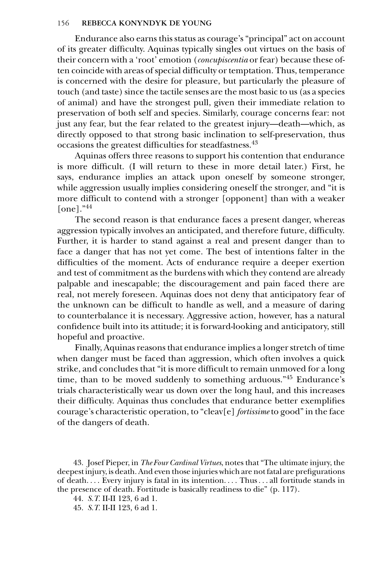Endurance also earns this status as courage's "principal" act on account of its greater difficulty. Aquinas typically singles out virtues on the basis of their concern with a 'root' emotion (*concupiscentia* or fear) because these often coincide with areas of special difficulty or temptation. Thus, temperance is concerned with the desire for pleasure, but particularly the pleasure of touch (and taste) since the tactile senses are the most basic to us (as a species of animal) and have the strongest pull, given their immediate relation to preservation of both self and species. Similarly, courage concerns fear: not just any fear, but the fear related to the greatest injury—death—which, as directly opposed to that strong basic inclination to self-preservation, thus occasions the greatest difficulties for steadfastness.43

Aquinas offers three reasons to support his contention that endurance is more difficult. (I will return to these in more detail later.) First, he says, endurance implies an attack upon oneself by someone stronger, while aggression usually implies considering oneself the stronger, and "it is more difficult to contend with a stronger [opponent] than with a weaker [one]."<sup>44</sup>

The second reason is that endurance faces a present danger, whereas aggression typically involves an anticipated, and therefore future, difficulty. Further, it is harder to stand against a real and present danger than to face a danger that has not yet come. The best of intentions falter in the difficulties of the moment. Acts of endurance require a deeper exertion and test of commitment as the burdens with which they contend are already palpable and inescapable; the discouragement and pain faced there are real, not merely foreseen. Aquinas does not deny that anticipatory fear of the unknown can be difficult to handle as well, and a measure of daring to counterbalance it is necessary. Aggressive action, however, has a natural confidence built into its attitude; it is forward-looking and anticipatory, still hopeful and proactive.

Finally, Aquinas reasons that endurance implies a longer stretch of time when danger must be faced than aggression, which often involves a quick strike, and concludes that "it is more difficult to remain unmoved for a long time, than to be moved suddenly to something arduous."<sup>45</sup> Endurance's trials characteristically wear us down over the long haul, and this increases their difficulty. Aquinas thus concludes that endurance better exemplifies courage's characteristic operation, to "cleav[e] *fortissime* to good" in the face of the dangers of death.

43. Josef Pieper, in *The Four Cardinal Virtues*, notes that "The ultimate injury, the deepest injury, is death. And even those injuries which are not fatal are prefigurations of death.... Every injury is fatal in its intention.... Thus ... all fortitude stands in the presence of death. Fortitude is basically readiness to die" (p. 117).

44. *S.T.* II-II 123, 6 ad 1.

45. *S.T.* II-II 123, 6 ad 1.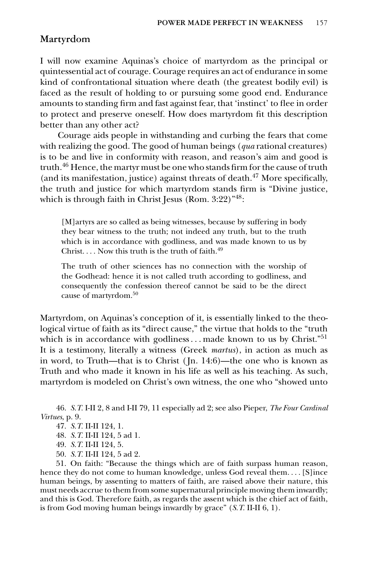## **Martyrdom**

I will now examine Aquinas's choice of martyrdom as the principal or quintessential act of courage. Courage requires an act of endurance in some kind of confrontational situation where death (the greatest bodily evil) is faced as the result of holding to or pursuing some good end. Endurance amounts to standing firm and fast against fear, that 'instinct' to flee in order to protect and preserve oneself. How does martyrdom fit this description better than any other act?

Courage aids people in withstanding and curbing the fears that come with realizing the good. The good of human beings (*qua* rational creatures) is to be and live in conformity with reason, and reason's aim and good is truth.<sup>46</sup> Hence, the martyr must be one who stands firm for the cause of truth (and its manifestation, justice) against threats of death. $47$  More specifically, the truth and justice for which martyrdom stands firm is "Divine justice, which is through faith in Christ Jesus (Rom.  $3:22$ )<sup> $*48$ </sup>:

[M]artyrs are so called as being witnesses, because by suffering in body they bear witness to the truth; not indeed any truth, but to the truth which is in accordance with godliness, and was made known to us by Christ.... Now this truth is the truth of faith. $^{49}$ 

The truth of other sciences has no connection with the worship of the Godhead: hence it is not called truth according to godliness, and consequently the confession thereof cannot be said to be the direct cause of martyrdom.<sup>50</sup>

Martyrdom, on Aquinas's conception of it, is essentially linked to the theological virtue of faith as its "direct cause," the virtue that holds to the "truth which is in accordance with godliness... made known to us by Christ."<sup>51</sup> It is a testimony, literally a witness (Greek *martus*), in action as much as in word, to Truth—that is to Christ (Jn. 14:6)—the one who is known as Truth and who made it known in his life as well as his teaching. As such, martyrdom is modeled on Christ's own witness, the one who "showed unto

46. *S.T.* I-II 2, 8 and I-II 79, 11 especially ad 2; see also Pieper, *The Four Cardinal Virtues*, p. 9.

- 48. *S.T.* II-II 124, 5 ad 1.
- 49. *S.T.* II-II 124, 5.
- 50. *S.T.* II-II 124, 5 ad 2.

51. On faith: "Because the things which are of faith surpass human reason, hence they do not come to human knowledge, unless God reveal them.... [S]ince human beings, by assenting to matters of faith, are raised above their nature, this must needs accrue to them from some supernatural principle moving them inwardly; and this is God. Therefore faith, as regards the assent which is the chief act of faith, is from God moving human beings inwardly by grace" (*S.T.* II-II 6, 1).

<sup>47.</sup> *S.T.* II-II 124, 1.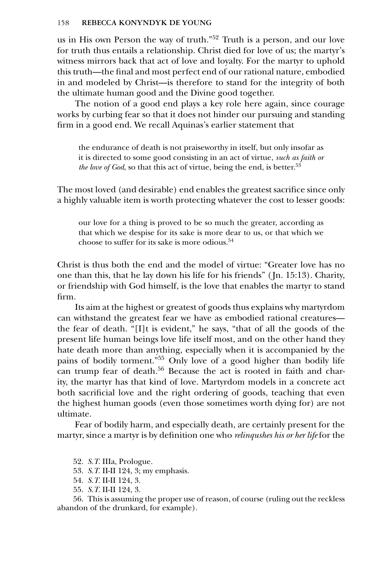us in His own Person the way of truth."<sup>52</sup> Truth is a person, and our love for truth thus entails a relationship. Christ died for love of us; the martyr's witness mirrors back that act of love and loyalty. For the martyr to uphold this truth—the final and most perfect end of our rational nature, embodied in and modeled by Christ—is therefore to stand for the integrity of both the ultimate human good and the Divine good together.

The notion of a good end plays a key role here again, since courage works by curbing fear so that it does not hinder our pursuing and standing firm in a good end. We recall Aquinas's earlier statement that

the endurance of death is not praiseworthy in itself, but only insofar as it is directed to some good consisting in an act of virtue, *such as faith or the love of God*, so that this act of virtue, being the end, is better.<sup>53</sup>

The most loved (and desirable) end enables the greatest sacrifice since only a highly valuable item is worth protecting whatever the cost to lesser goods:

our love for a thing is proved to be so much the greater, according as that which we despise for its sake is more dear to us, or that which we choose to suffer for its sake is more odious.<sup>54</sup>

Christ is thus both the end and the model of virtue: "Greater love has no one than this, that he lay down his life for his friends" (Jn. 15:13). Charity, or friendship with God himself, is the love that enables the martyr to stand firm.

Its aim at the highest or greatest of goods thus explains why martyrdom can withstand the greatest fear we have as embodied rational creatures the fear of death. "[I]t is evident," he says, "that of all the goods of the present life human beings love life itself most, and on the other hand they hate death more than anything, especially when it is accompanied by the pains of bodily torment.<sup> $55$ </sup> Only love of a good higher than bodily life can trump fear of death.<sup>56</sup> Because the act is rooted in faith and charity, the martyr has that kind of love. Martyrdom models in a concrete act both sacrificial love and the right ordering of goods, teaching that even the highest human goods (even those sometimes worth dying for) are not ultimate.

Fear of bodily harm, and especially death, are certainly present for the martyr, since a martyr is by definition one who *relinqushes his or her life* for the

52. *S.T.* IIIa, Prologue.

- 53. *S.T.* II-II 124, 3; my emphasis.
- 54. *S.T.* II-II 124, 3.
- 55. *S.T.* II-II 124, 3.

56. This is assuming the proper use of reason, of course (ruling out the reckless abandon of the drunkard, for example).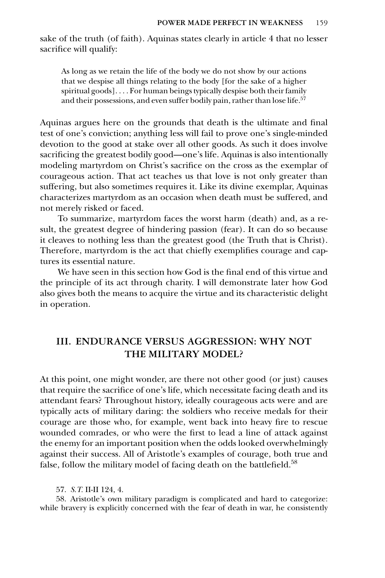sake of the truth (of faith). Aquinas states clearly in article 4 that no lesser sacrifice will qualify:

As long as we retain the life of the body we do not show by our actions that we despise all things relating to the body [for the sake of a higher spiritual goods]. . . . For human beings typically despise both their family and their possessions, and even suffer bodily pain, rather than lose life.<sup>57</sup>

Aquinas argues here on the grounds that death is the ultimate and final test of one's conviction; anything less will fail to prove one's single-minded devotion to the good at stake over all other goods. As such it does involve sacrificing the greatest bodily good—one's life. Aquinas is also intentionally modeling martyrdom on Christ's sacrifice on the cross as the exemplar of courageous action. That act teaches us that love is not only greater than suffering, but also sometimes requires it. Like its divine exemplar, Aquinas characterizes martyrdom as an occasion when death must be suffered, and not merely risked or faced.

To summarize, martyrdom faces the worst harm (death) and, as a result, the greatest degree of hindering passion (fear). It can do so because it cleaves to nothing less than the greatest good (the Truth that is Christ). Therefore, martyrdom is the act that chiefly exemplifies courage and captures its essential nature.

We have seen in this section how God is the final end of this virtue and the principle of its act through charity. I will demonstrate later how God also gives both the means to acquire the virtue and its characteristic delight in operation.

# **III. ENDURANCE VERSUS AGGRESSION: WHY NOT THE MILITARY MODEL?**

At this point, one might wonder, are there not other good (or just) causes that require the sacrifice of one's life, which necessitate facing death and its attendant fears? Throughout history, ideally courageous acts were and are typically acts of military daring: the soldiers who receive medals for their courage are those who, for example, went back into heavy fire to rescue wounded comrades, or who were the first to lead a line of attack against the enemy for an important position when the odds looked overwhelmingly against their success. All of Aristotle's examples of courage, both true and false, follow the military model of facing death on the battlefield.<sup>58</sup>

57. *S.T.* II-II 124, 4.

58. Aristotle's own military paradigm is complicated and hard to categorize: while bravery is explicitly concerned with the fear of death in war, he consistently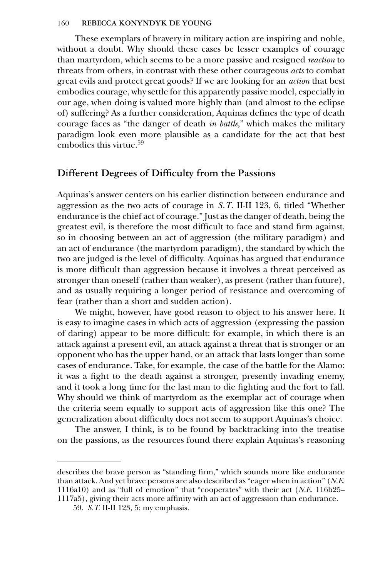These exemplars of bravery in military action are inspiring and noble, without a doubt. Why should these cases be lesser examples of courage than martyrdom, which seems to be a more passive and resigned *reaction* to threats from others, in contrast with these other courageous *acts* to combat great evils and protect great goods? If we are looking for an *action* that best embodies courage, why settle for this apparently passive model, especially in our age, when doing is valued more highly than (and almost to the eclipse of) suffering? As a further consideration, Aquinas defines the type of death courage faces as "the danger of death *in battle*," which makes the military paradigm look even more plausible as a candidate for the act that best embodies this virtue.<sup>59</sup>

# **Different Degrees of Difficulty from the Passions**

Aquinas's answer centers on his earlier distinction between endurance and aggression as the two acts of courage in *S*.*T*. II-II 123, 6, titled "Whether endurance is the chief act of courage." Just as the danger of death, being the greatest evil, is therefore the most difficult to face and stand firm against, so in choosing between an act of aggression (the military paradigm) and an act of endurance (the martyrdom paradigm), the standard by which the two are judged is the level of difficulty. Aquinas has argued that endurance is more difficult than aggression because it involves a threat perceived as stronger than oneself (rather than weaker), as present (rather than future), and as usually requiring a longer period of resistance and overcoming of fear (rather than a short and sudden action).

We might, however, have good reason to object to his answer here. It is easy to imagine cases in which acts of aggression (expressing the passion of daring) appear to be more difficult: for example, in which there is an attack against a present evil, an attack against a threat that is stronger or an opponent who has the upper hand, or an attack that lasts longer than some cases of endurance. Take, for example, the case of the battle for the Alamo: it was a fight to the death against a stronger, presently invading enemy, and it took a long time for the last man to die fighting and the fort to fall. Why should we think of martyrdom as the exemplar act of courage when the criteria seem equally to support acts of aggression like this one? The generalization about difficulty does not seem to support Aquinas's choice.

The answer, I think, is to be found by backtracking into the treatise on the passions, as the resources found there explain Aquinas's reasoning

describes the brave person as "standing firm," which sounds more like endurance than attack. And yet brave persons are also described as "eager when in action" (*N.E.* 1116a10) and as "full of emotion" that "cooperates" with their act (*N.E.* 116b25– 1117a5), giving their acts more affinity with an act of aggression than endurance.

<sup>59.</sup> *S.T.* II-II 123, 5; my emphasis.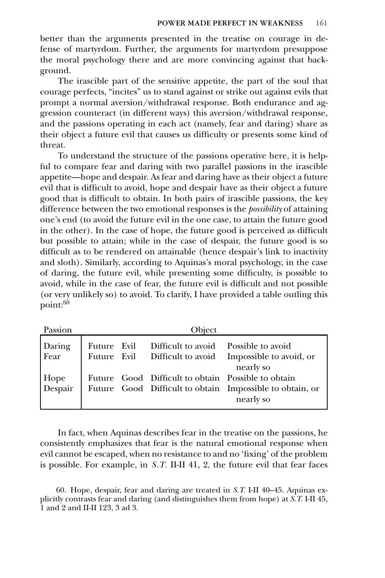better than the arguments presented in the treatise on courage in defense of martyrdom. Further, the arguments for martyrdom presuppose the moral psychology there and are more convincing against that background.

The irascible part of the sensitive appetite, the part of the soul that courage perfects, "incites" us to stand against or strike out against evils that prompt a normal aversion/withdrawal response. Both endurance and aggression counteract (in different ways) this aversion/withdrawal response, and the passions operating in each act (namely, fear and daring) share as their object a future evil that causes us difficulty or presents some kind of threat.

To understand the structure of the passions operative here, it is helpful to compare fear and daring with two parallel passions in the irascible appetite—hope and despair. As fear and daring have as their object a future evil that is difficult to avoid, hope and despair have as their object a future good that is difficult to obtain. In both pairs of irascible passions, the key difference between the two emotional responses is the *possibility* of attaining one's end (to avoid the future evil in the one case, to attain the future good in the other). In the case of hope, the future good is perceived as difficult but possible to attain; while in the case of despair, the future good is so difficult as to be rendered on attainable (hence despair's link to inactivity and sloth). Similarly, according to Aquinas's moral psychology, in the case of daring, the future evil, while presenting some difficulty, is possible to avoid, while in the case of fear, the future evil is difficult and not possible (or very unlikely so) to avoid. To clarify, I have provided a table outling this point:<sup>60</sup>

| Passion         |             | Object                                               |                                                                       |
|-----------------|-------------|------------------------------------------------------|-----------------------------------------------------------------------|
| Daring<br>Fear  | Future Evil | Difficult to avoid<br>Future Evil Difficult to avoid | Possible to avoid<br>Impossible to avoid, or                          |
|                 |             |                                                      | nearly so                                                             |
| Hope<br>Despair |             | Future Good Difficult to obtain Possible to obtain   |                                                                       |
|                 |             |                                                      | Future Good Difficult to obtain Impossible to obtain, or<br>nearly so |

In fact, when Aquinas describes fear in the treatise on the passions, he consistently emphasizes that fear is the natural emotional response when evil cannot be escaped, when no resistance to and no 'fixing' of the problem is possible. For example, in *S*.*T*. II-II 41, 2, the future evil that fear faces

60. Hope, despair, fear and daring are treated in *S.T.* I-II 40–45. Aquinas explicitly contrasts fear and daring (and distinguishes them from hope) at *S.T.* I-II 45, 1 and 2 and II-II 123, 3 ad 3.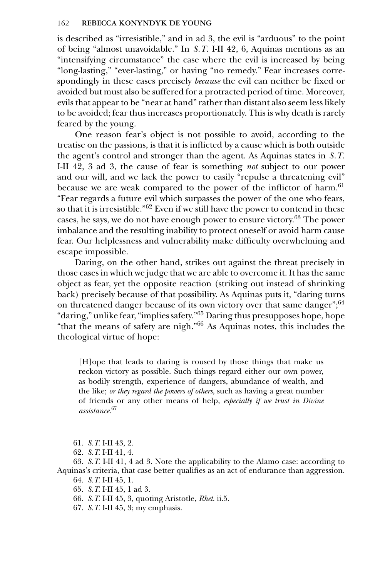is described as "irresistible," and in ad 3, the evil is "arduous" to the point of being "almost unavoidable." In *S*.*T*. I-II 42, 6, Aquinas mentions as an "intensifying circumstance" the case where the evil is increased by being "long-lasting," "ever-lasting," or having "no remedy." Fear increases correspondingly in these cases precisely *because* the evil can neither be fixed or avoided but must also be suffered for a protracted period of time. Moreover, evils that appear to be "near at hand" rather than distant also seem less likely to be avoided; fear thus increases proportionately. This is why death is rarely feared by the young.

One reason fear's object is not possible to avoid, according to the treatise on the passions, is that it is inflicted by a cause which is both outside the agent's control and stronger than the agent. As Aquinas states in *S*.*T*. I-II 42, 3 ad 3, the cause of fear is something *not* subject to our power and our will, and we lack the power to easily "repulse a threatening evil" because we are weak compared to the power of the inflictor of harm.<sup>61</sup> "Fear regards a future evil which surpasses the power of the one who fears, so that it is irresistible."62 Even if we still have the power to contend in these cases, he says, we do not have enough power to ensure victory.63 The power imbalance and the resulting inability to protect oneself or avoid harm cause fear. Our helplessness and vulnerability make difficulty overwhelming and escape impossible.

Daring, on the other hand, strikes out against the threat precisely in those cases in which we judge that we are able to overcome it. It has the same object as fear, yet the opposite reaction (striking out instead of shrinking back) precisely because of that possibility. As Aquinas puts it, "daring turns on threatened danger because of its own victory over that same danger";<sup>64</sup> "daring," unlike fear, "implies safety."<sup>65</sup> Daring thus presupposes hope, hope "that the means of safety are nigh."66 As Aquinas notes, this includes the theological virtue of hope:

[H]ope that leads to daring is roused by those things that make us reckon victory as possible. Such things regard either our own power, as bodily strength, experience of dangers, abundance of wealth, and the like; *or they regard the powers of others*, such as having a great number of friends or any other means of help, *especially if we trust in Divine assistance*. 67

- 61. *S.T.* I-II 43, 2.
- 62. *S.T.* I-II 41, 4.

63. *S.T.* I-II 41, 4 ad 3. Note the applicability to the Alamo case: according to Aquinas's criteria, that case better qualifies as an act of endurance than aggression.

64. *S.T.* I-II 45, 1.

65. *S.T.* I-II 45, 1 ad 3.

66. *S.T.* I-II 45, 3, quoting Aristotle, *Rhet*. ii.5.

67. *S.T.* I-II 45, 3; my emphasis.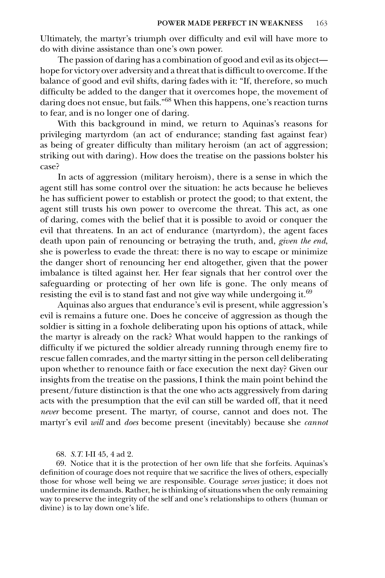Ultimately, the martyr's triumph over difficulty and evil will have more to do with divine assistance than one's own power.

The passion of daring has a combination of good and evil as its object hope for victory over adversity and a threat that is difficult to overcome. If the balance of good and evil shifts, daring fades with it: "If, therefore, so much difficulty be added to the danger that it overcomes hope, the movement of daring does not ensue, but fails."68 When this happens, one's reaction turns to fear, and is no longer one of daring.

With this background in mind, we return to Aquinas's reasons for privileging martyrdom (an act of endurance; standing fast against fear) as being of greater difficulty than military heroism (an act of aggression; striking out with daring). How does the treatise on the passions bolster his case?

In acts of aggression (military heroism), there is a sense in which the agent still has some control over the situation: he acts because he believes he has sufficient power to establish or protect the good; to that extent, the agent still trusts his own power to overcome the threat. This act, as one of daring, comes with the belief that it is possible to avoid or conquer the evil that threatens. In an act of endurance (martyrdom), the agent faces death upon pain of renouncing or betraying the truth, and, *given the end*, she is powerless to evade the threat: there is no way to escape or minimize the danger short of renouncing her end altogether, given that the power imbalance is tilted against her. Her fear signals that her control over the safeguarding or protecting of her own life is gone. The only means of resisting the evil is to stand fast and not give way while undergoing it.<sup>69</sup>

Aquinas also argues that endurance's evil is present, while aggression's evil is remains a future one. Does he conceive of aggression as though the soldier is sitting in a foxhole deliberating upon his options of attack, while the martyr is already on the rack? What would happen to the rankings of difficulty if we pictured the soldier already running through enemy fire to rescue fallen comrades, and the martyr sitting in the person cell deliberating upon whether to renounce faith or face execution the next day? Given our insights from the treatise on the passions, I think the main point behind the present/future distinction is that the one who acts aggressively from daring acts with the presumption that the evil can still be warded off, that it need *never* become present. The martyr, of course, cannot and does not. The martyr's evil *will* and *does* become present (inevitably) because she *cannot*

68. *S.T.* I-II 45, 4 ad 2.

69. Notice that it is the protection of her own life that she forfeits. Aquinas's definition of courage does not require that we sacrifice the lives of others, especially those for whose well being we are responsible. Courage *serves* justice; it does not undermine its demands. Rather, he is thinking of situations when the only remaining way to preserve the integrity of the self and one's relationships to others (human or divine) is to lay down one's life.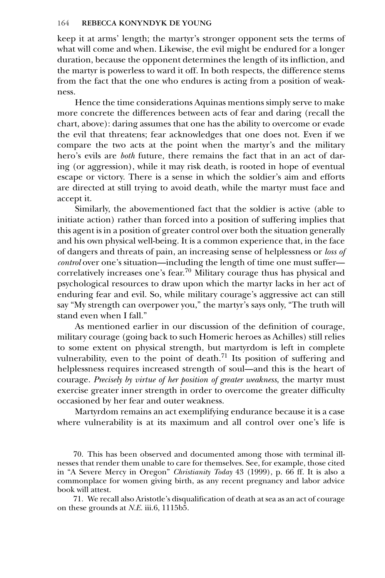keep it at arms' length; the martyr's stronger opponent sets the terms of what will come and when. Likewise, the evil might be endured for a longer duration, because the opponent determines the length of its infliction, and the martyr is powerless to ward it off. In both respects, the difference stems from the fact that the one who endures is acting from a position of weakness.

Hence the time considerations Aquinas mentions simply serve to make more concrete the differences between acts of fear and daring (recall the chart, above): daring assumes that one has the ability to overcome or evade the evil that threatens; fear acknowledges that one does not. Even if we compare the two acts at the point when the martyr's and the military hero's evils are *both* future, there remains the fact that in an act of daring (or aggression), while it may risk death, is rooted in hope of eventual escape or victory. There is a sense in which the soldier's aim and efforts are directed at still trying to avoid death, while the martyr must face and accept it.

Similarly, the abovementioned fact that the soldier is active (able to initiate action) rather than forced into a position of suffering implies that this agent is in a position of greater control over both the situation generally and his own physical well-being. It is a common experience that, in the face of dangers and threats of pain, an increasing sense of helplessness or *loss of control* over one's situation—including the length of time one must suffer correlatively increases one's fear.<sup>70</sup> Military courage thus has physical and psychological resources to draw upon which the martyr lacks in her act of enduring fear and evil. So, while military courage's aggressive act can still say "My strength can overpower you," the martyr's says only, "The truth will stand even when I fall."

As mentioned earlier in our discussion of the definition of courage, military courage (going back to such Homeric heroes as Achilles) still relies to some extent on physical strength, but martyrdom is left in complete vulnerability, even to the point of death.<sup>71</sup> Its position of suffering and helplessness requires increased strength of soul—and this is the heart of courage. *Precisely by virtue of her position of greater weakness*, the martyr must exercise greater inner strength in order to overcome the greater difficulty occasioned by her fear and outer weakness.

Martyrdom remains an act exemplifying endurance because it is a case where vulnerability is at its maximum and all control over one's life is

70. This has been observed and documented among those with terminal illnesses that render them unable to care for themselves. See, for example, those cited in "A Severe Mercy in Oregon" *Christianity Today* 43 (1999), p. 66 ff. It is also a commonplace for women giving birth, as any recent pregnancy and labor advice book will attest.

71. We recall also Aristotle's disqualification of death at sea as an act of courage on these grounds at *N.E.* iii.6, 1115b5.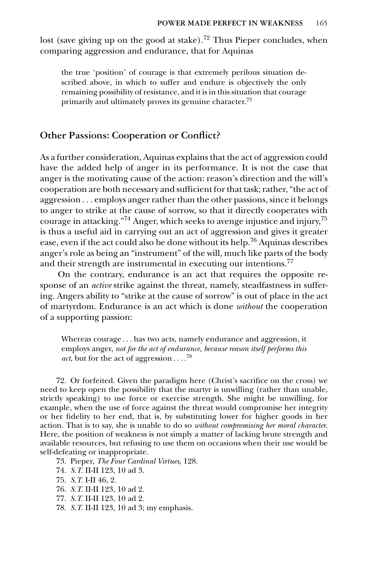lost (save giving up on the good at stake).<sup>72</sup> Thus Pieper concludes, when comparing aggression and endurance, that for Aquinas

the true 'position' of courage is that extremely perilous situation described above, in which to suffer and endure is objectively the only remaining possibility of resistance, and it is in this situation that courage primarily and ultimately proves its genuine character.<sup>73</sup>

## **Other Passions: Cooperation or Conflict?**

As a further consideration, Aquinas explains that the act of aggression could have the added help of anger in its performance. It is not the case that anger is the motivating cause of the action: reason's direction and the will's cooperation are both necessary and sufficient for that task; rather, "the act of aggression . . . employs anger rather than the other passions, since it belongs to anger to strike at the cause of sorrow, so that it directly cooperates with courage in attacking."<sup>74</sup> Anger, which seeks to avenge injustice and injury,<sup>75</sup> is thus a useful aid in carrying out an act of aggression and gives it greater ease, even if the act could also be done without its help.<sup>76</sup> Aquinas describes anger's role as being an "instrument" of the will, much like parts of the body and their strength are instrumental in executing our intentions.<sup>77</sup>

On the contrary, endurance is an act that requires the opposite response of an *active* strike against the threat, namely, steadfastness in suffering. Angers ability to "strike at the cause of sorrow" is out of place in the act of martyrdom. Endurance is an act which is done *without* the cooperation of a supporting passion:

Whereas courage . . . has two acts, namely endurance and aggression, it employs anger, *not for the act of endurance, because reason itself performs this act*, but for the act of aggression . . . .<sup>78</sup>

72. Or forfeited. Given the paradigm here (Christ's sacrifice on the cross) we need to keep open the possibility that the martyr is unwilling (rather than unable, strictly speaking) to use force or exercise strength. She might be unwilling, for example, when the use of force against the threat would compromise her integrity or her fidelity to her end, that is, by substituting lower for higher goods in her action. That is to say, she is unable to do so *without compromising her moral character*. Here, the position of weakness is not simply a matter of lacking brute strength and available resources, but refusing to use them on occasions when their use would be self-defeating or inappropriate.

73. Pieper, *The Four Cardinal Virtues*, 128.

- 74. *S.T.* II-II 123, 10 ad 3.
- 75. *S.T.* I-II 46, 2.
- 76. *S.T.* II-II 123, 10 ad 2.
- 77. *S.T.* II-II 123, 10 ad 2.
- 78. *S.T.* II-II 123, 10 ad 3; my emphasis.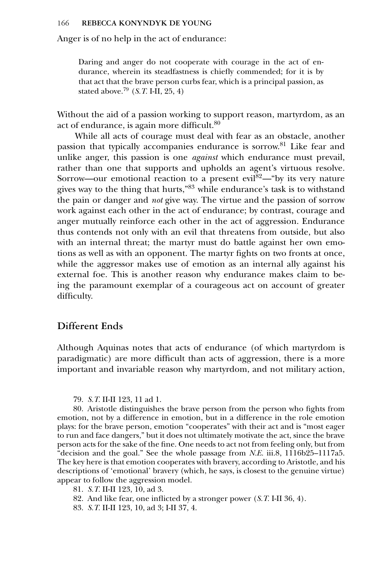Anger is of no help in the act of endurance:

Daring and anger do not cooperate with courage in the act of endurance, wherein its steadfastness is chiefly commended; for it is by that act that the brave person curbs fear, which is a principal passion, as stated above.79 (*S.T.* I-II, 25, 4)

Without the aid of a passion working to support reason, martyrdom, as an act of endurance, is again more difficult.<sup>80</sup>

While all acts of courage must deal with fear as an obstacle, another passion that typically accompanies endurance is sorrow.<sup>81</sup> Like fear and unlike anger, this passion is one *against* which endurance must prevail, rather than one that supports and upholds an agent's virtuous resolve. Sorrow—our emotional reaction to a present evil<sup>82</sup>— "by its very nature gives way to the thing that hurts,"<sup>83</sup> while endurance's task is to withstand the pain or danger and *not* give way. The virtue and the passion of sorrow work against each other in the act of endurance; by contrast, courage and anger mutually reinforce each other in the act of aggression. Endurance thus contends not only with an evil that threatens from outside, but also with an internal threat; the martyr must do battle against her own emotions as well as with an opponent. The martyr fights on two fronts at once, while the aggressor makes use of emotion as an internal ally against his external foe. This is another reason why endurance makes claim to being the paramount exemplar of a courageous act on account of greater difficulty.

## **Different Ends**

Although Aquinas notes that acts of endurance (of which martyrdom is paradigmatic) are more difficult than acts of aggression, there is a more important and invariable reason why martyrdom, and not military action,

80. Aristotle distinguishes the brave person from the person who fights from emotion, not by a difference in emotion, but in a difference in the role emotion plays: for the brave person, emotion "cooperates" with their act and is "most eager to run and face dangers," but it does not ultimately motivate the act, since the brave person acts for the sake of the fine. One needs to act not from feeling only, but from "decision and the goal." See the whole passage from *N.E.* iii.8, 1116b25–1117a5. The key here is that emotion cooperates with bravery, according to Aristotle, and his descriptions of 'emotional' bravery (which, he says, is closest to the genuine virtue) appear to follow the aggression model.

- 81. *S.T.* II-II 123, 10, ad 3.
- 82. And like fear, one inflicted by a stronger power (*S.T.* I-II 36, 4).
- 83. *S.T.* II-II 123, 10, ad 3; I-II 37, 4.

<sup>79.</sup> *S.T.* II-II 123, 11 ad 1.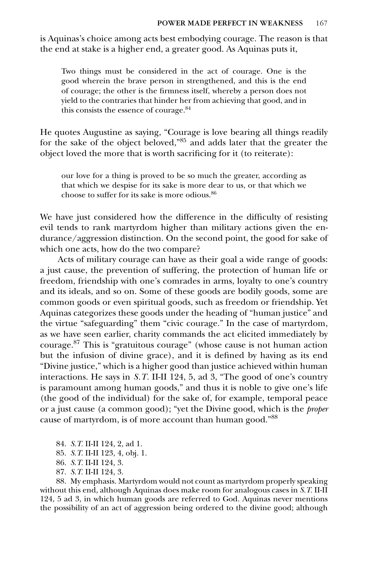is Aquinas's choice among acts best embodying courage. The reason is that the end at stake is a higher end, a greater good. As Aquinas puts it,

Two things must be considered in the act of courage. One is the good wherein the brave person in strengthened, and this is the end of courage; the other is the firmness itself, whereby a person does not yield to the contraries that hinder her from achieving that good, and in this consists the essence of courage.<sup>84</sup>

He quotes Augustine as saying, "Courage is love bearing all things readily for the sake of the object beloved,"85 and adds later that the greater the object loved the more that is worth sacrificing for it (to reiterate):

our love for a thing is proved to be so much the greater, according as that which we despise for its sake is more dear to us, or that which we choose to suffer for its sake is more odious.<sup>86</sup>

We have just considered how the difference in the difficulty of resisting evil tends to rank martyrdom higher than military actions given the endurance/aggression distinction. On the second point, the good for sake of which one acts, how do the two compare?

Acts of military courage can have as their goal a wide range of goods: a just cause, the prevention of suffering, the protection of human life or freedom, friendship with one's comrades in arms, loyalty to one's country and its ideals, and so on. Some of these goods are bodily goods, some are common goods or even spiritual goods, such as freedom or friendship. Yet Aquinas categorizes these goods under the heading of "human justice" and the virtue "safeguarding" them "civic courage." In the case of martyrdom, as we have seen earlier, charity commands the act elicited immediately by courage.<sup>87</sup> This is "gratuitous courage" (whose cause is not human action but the infusion of divine grace), and it is defined by having as its end "Divine justice," which is a higher good than justice achieved within human interactions. He says in *S*.*T*. II-II 124, 5, ad 3, "The good of one's country is paramount among human goods," and thus it is noble to give one's life (the good of the individual) for the sake of, for example, temporal peace or a just cause (a common good); "yet the Divine good, which is the *proper* cause of martyrdom, is of more account than human good."88

- 84. *S.T.* II-II 124, 2, ad 1.
- 85. *S.T.* II-II 123, 4, obj. 1.
- 86. *S.T.* II-II 124, 3.
- 87. *S.T.* II-II 124, 3.

88. My emphasis. Martyrdom would not count as martyrdom properly speaking without this end, although Aquinas does make room for analogous cases in *S.T.* II-II 124, 5 ad 3, in which human goods are referred to God. Aquinas never mentions the possibility of an act of aggression being ordered to the divine good; although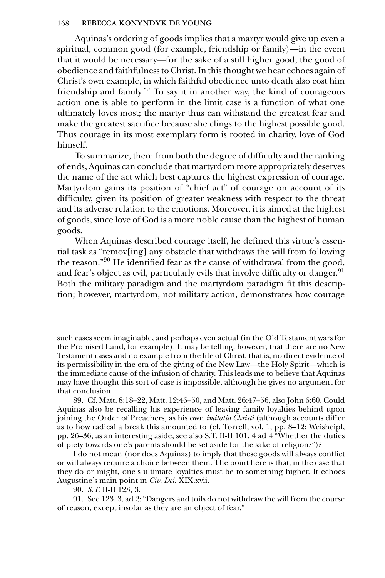Aquinas's ordering of goods implies that a martyr would give up even a spiritual, common good (for example, friendship or family)—in the event that it would be necessary—for the sake of a still higher good, the good of obedience and faithfulness to Christ. In this thought we hear echoes again of Christ's own example, in which faithful obedience unto death also cost him friendship and family.<sup>89</sup> To say it in another way, the kind of courageous action one is able to perform in the limit case is a function of what one ultimately loves most; the martyr thus can withstand the greatest fear and make the greatest sacrifice because she clings to the highest possible good. Thus courage in its most exemplary form is rooted in charity, love of God himself.

To summarize, then: from both the degree of difficulty and the ranking of ends, Aquinas can conclude that martyrdom more appropriately deserves the name of the act which best captures the highest expression of courage. Martyrdom gains its position of "chief act" of courage on account of its difficulty, given its position of greater weakness with respect to the threat and its adverse relation to the emotions. Moreover, it is aimed at the highest of goods, since love of God is a more noble cause than the highest of human goods.

When Aquinas described courage itself, he defined this virtue's essential task as "remov[ing] any obstacle that withdraws the will from following the reason."<sup>90</sup> He identified fear as the cause of withdrawal from the good, and fear's object as evil, particularly evils that involve difficulty or danger.  $91$ Both the military paradigm and the martyrdom paradigm fit this description; however, martyrdom, not military action, demonstrates how courage

such cases seem imaginable, and perhaps even actual (in the Old Testament wars for the Promised Land, for example). It may be telling, however, that there are no New Testament cases and no example from the life of Christ, that is, no direct evidence of its permissibility in the era of the giving of the New Law—the Holy Spirit—which is the immediate cause of the infusion of charity. This leads me to believe that Aquinas may have thought this sort of case is impossible, although he gives no argument for that conclusion.

<sup>89.</sup> Cf. Matt. 8:18–22, Matt. 12:46–50, and Matt. 26:47–56, also John 6:60. Could Aquinas also be recalling his experience of leaving family loyalties behind upon joining the Order of Preachers, as his own *imitatio Christi* (although accounts differ as to how radical a break this amounted to (cf. Torrell, vol. 1, pp. 8–12; Weisheipl, pp. 26–36; as an interesting aside, see also S.T. II-II 101, 4 ad  $4\text{ }^{\circ}$  Whether the duties of piety towards one's parents should be set aside for the sake of religion?")?

I do not mean (nor does Aquinas) to imply that these goods will always conflict or will always require a choice between them. The point here is that, in the case that they do or might, one's ultimate loyalties must be to something higher. It echoes Augustine's main point in *Civ. Dei.* XIX.xvii.

<sup>90.</sup> *S.T.* II-II 123, 3.

<sup>91.</sup> See 123, 3, ad 2: "Dangers and toils do not withdraw the will from the course of reason, except insofar as they are an object of fear."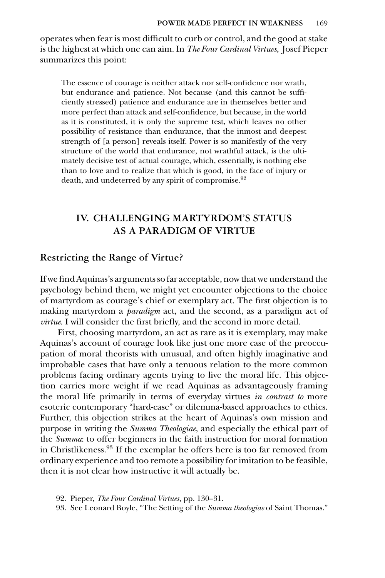operates when fear is most difficult to curb or control, and the good at stake is the highest at which one can aim. In *The Four Cardinal Virtues*, Josef Pieper summarizes this point:

The essence of courage is neither attack nor self-confidence nor wrath, but endurance and patience. Not because (and this cannot be sufficiently stressed) patience and endurance are in themselves better and more perfect than attack and self-confidence, but because, in the world as it is constituted, it is only the supreme test, which leaves no other possibility of resistance than endurance, that the inmost and deepest strength of [a person] reveals itself. Power is so manifestly of the very structure of the world that endurance, not wrathful attack, is the ultimately decisive test of actual courage, which, essentially, is nothing else than to love and to realize that which is good, in the face of injury or death, and undeterred by any spirit of compromise.<sup>92</sup>

# **IV. CHALLENGING MARTYRDOM'S STATUS AS A PARADIGM OF VIRTUE**

### **Restricting the Range of Virtue?**

If we find Aquinas's arguments so far acceptable, now that we understand the psychology behind them, we might yet encounter objections to the choice of martyrdom as courage's chief or exemplary act. The first objection is to making martyrdom a *paradigm* act, and the second, as a paradigm act of *virtue*. I will consider the first briefly, and the second in more detail.

First, choosing martyrdom, an act as rare as it is exemplary, may make Aquinas's account of courage look like just one more case of the preoccupation of moral theorists with unusual, and often highly imaginative and improbable cases that have only a tenuous relation to the more common problems facing ordinary agents trying to live the moral life. This objection carries more weight if we read Aquinas as advantageously framing the moral life primarily in terms of everyday virtues *in contrast to* more esoteric contemporary "hard-case" or dilemma-based approaches to ethics. Further, this objection strikes at the heart of Aquinas's own mission and purpose in writing the *Summa Theologiae*, and especially the ethical part of the *Summa*: to offer beginners in the faith instruction for moral formation in Christlikeness.  $93$  If the exemplar he offers here is too far removed from ordinary experience and too remote a possibility for imitation to be feasible, then it is not clear how instructive it will actually be.

- 92. Pieper, *The Four Cardinal Virtues*, pp. 130–31.
- 93. See Leonard Boyle, "The Setting of the *Summa theologiae* of Saint Thomas."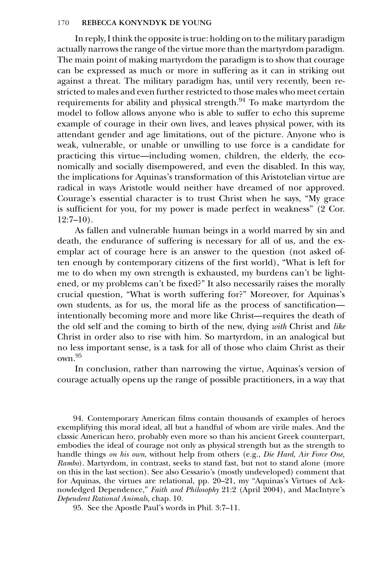In reply, I think the opposite is true: holding on to the military paradigm actually narrows the range of the virtue more than the martyrdom paradigm. The main point of making martyrdom the paradigm is to show that courage can be expressed as much or more in suffering as it can in striking out against a threat. The military paradigm has, until very recently, been restricted to males and even further restricted to those males who meet certain requirements for ability and physical strength. $94$  To make martyrdom the model to follow allows anyone who is able to suffer to echo this supreme example of courage in their own lives, and leaves physical power, with its attendant gender and age limitations, out of the picture. Anyone who is weak, vulnerable, or unable or unwilling to use force is a candidate for practicing this virtue—including women, children, the elderly, the economically and socially disempowered, and even the disabled. In this way, the implications for Aquinas's transformation of this Aristotelian virtue are radical in ways Aristotle would neither have dreamed of nor approved. Courage's essential character is to trust Christ when he says, "My grace is sufficient for you, for my power is made perfect in weakness" (2 Cor.  $12:7-10$ ).

As fallen and vulnerable human beings in a world marred by sin and death, the endurance of suffering is necessary for all of us, and the exemplar act of courage here is an answer to the question (not asked often enough by contemporary citizens of the first world), "What is left for me to do when my own strength is exhausted, my burdens can't be lightened, or my problems can't be fixed?" It also necessarily raises the morally crucial question, "What is worth suffering for?" Moreover, for Aquinas's own students, as for us, the moral life as the process of sanctification intentionally becoming more and more like Christ—requires the death of the old self and the coming to birth of the new, dying *with* Christ and *like* Christ in order also to rise with him. So martyrdom, in an analogical but no less important sense, is a task for all of those who claim Christ as their own.<sup>95</sup>

In conclusion, rather than narrowing the virtue, Aquinas's version of courage actually opens up the range of possible practitioners, in a way that

94. Contemporary American films contain thousands of examples of heroes exemplifying this moral ideal, all but a handful of whom are virile males. And the classic American hero, probably even more so than his ancient Greek counterpart, embodies the ideal of courage not only as physical strength but as the strength to handle things *on his own*, without help from others (e.g., *Die Hard*, *Air Force One, Rambo*). Martyrdom, in contrast, seeks to stand fast, but not to stand alone (more on this in the last section). See also Cessario's (mostly undeveloped) comment that for Aquinas, the virtues are relational, pp. 20–21, my "Aquinas's Virtues of Acknowledged Dependence," *Faith and Philosophy* 21:2 (April 2004), and MacIntyre's *Dependent Rational Animals*, chap. 10.

95. See the Apostle Paul's words in Phil. 3:7–11.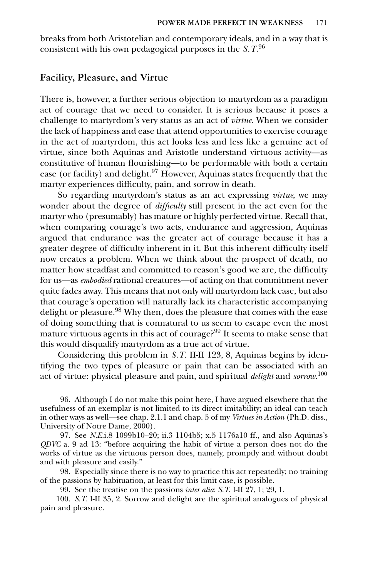breaks from both Aristotelian and contemporary ideals, and in a way that is consistent with his own pedagogical purposes in the *S*.*T*. 96

## **Facility, Pleasure, and Virtue**

There is, however, a further serious objection to martyrdom as a paradigm act of courage that we need to consider. It is serious because it poses a challenge to martyrdom's very status as an act of *virtue*. When we consider the lack of happiness and ease that attend opportunities to exercise courage in the act of martyrdom, this act looks less and less like a genuine act of virtue, since both Aquinas and Aristotle understand virtuous activity—as constitutive of human flourishing—to be performable with both a certain ease (or facility) and delight. $97$  However, Aquinas states frequently that the martyr experiences difficulty, pain, and sorrow in death.

So regarding martyrdom's status as an act expressing *virtue*, we may wonder about the degree of *difficulty* still present in the act even for the martyr who (presumably) has mature or highly perfected virtue. Recall that, when comparing courage's two acts, endurance and aggression, Aquinas argued that endurance was the greater act of courage because it has a greater degree of difficulty inherent in it. But this inherent difficulty itself now creates a problem. When we think about the prospect of death, no matter how steadfast and committed to reason's good we are, the difficulty for us—as *embodied* rational creatures—of acting on that commitment never quite fades away. This means that not only will martyrdom lack ease, but also that courage's operation will naturally lack its characteristic accompanying delight or pleasure.<sup>98</sup> Why then, does the pleasure that comes with the ease of doing something that is connatural to us seem to escape even the most mature virtuous agents in this act of courage?<sup>99</sup> It seems to make sense that this would disqualify martyrdom as a true act of virtue.

Considering this problem in *S*.*T*. II-II 123, 8, Aquinas begins by identifying the two types of pleasure or pain that can be associated with an act of virtue: physical pleasure and pain, and spiritual *delight* and *sorrow*. 100

96. Although I do not make this point here, I have argued elsewhere that the usefulness of an exemplar is not limited to its direct imitability; an ideal can teach in other ways as well—see chap. 2.1.1 and chap. 5 of my *Virtues in Action* (Ph.D. diss., University of Notre Dame, 2000).

97. See *N.E.*i.8 1099b10–20; ii.3 1104b5; x.5 1176a10 ff., and also Aquinas's *QDVC* a. 9 ad 13: "before acquiring the habit of virtue a person does not do the works of virtue as the virtuous person does, namely, promptly and without doubt and with pleasure and easily."

98. Especially since there is no way to practice this act repeatedly; no training of the passions by habituation, at least for this limit case, is possible.

99. See the treatise on the passions *inter alia*: *S.T.* I-II 27, 1; 29, 1.

100. *S.T.* I-II 35, 2. Sorrow and delight are the spiritual analogues of physical pain and pleasure.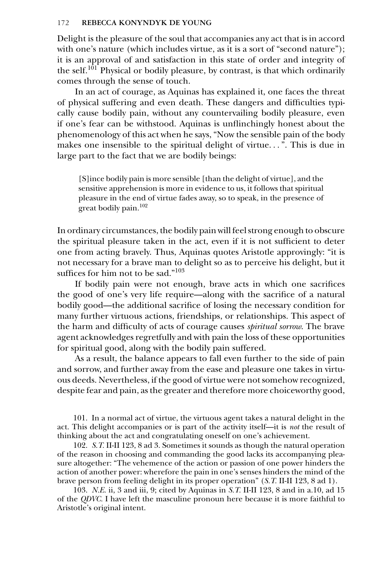Delight is the pleasure of the soul that accompanies any act that is in accord with one's nature (which includes virtue, as it is a sort of "second nature"); it is an approval of and satisfaction in this state of order and integrity of the self.<sup>101</sup> Physical or bodily pleasure, by contrast, is that which ordinarily comes through the sense of touch.

In an act of courage, as Aquinas has explained it, one faces the threat of physical suffering and even death. These dangers and difficulties typically cause bodily pain, without any countervailing bodily pleasure, even if one's fear can be withstood. Aquinas is unflinchingly honest about the phenomenology of this act when he says, "Now the sensible pain of the body makes one insensible to the spiritual delight of virtue. . . ". This is due in large part to the fact that we are bodily beings:

[S]ince bodily pain is more sensible [than the delight of virtue], and the sensitive apprehension is more in evidence to us, it follows that spiritual pleasure in the end of virtue fades away, so to speak, in the presence of great bodily pain.102

In ordinary circumstances, the bodily pain will feel strong enough to obscure the spiritual pleasure taken in the act, even if it is not sufficient to deter one from acting bravely. Thus, Aquinas quotes Aristotle approvingly: "it is not necessary for a brave man to delight so as to perceive his delight, but it suffices for him not to be sad."103

If bodily pain were not enough, brave acts in which one sacrifices the good of one's very life require—along with the sacrifice of a natural bodily good—the additional sacrifice of losing the necessary condition for many further virtuous actions, friendships, or relationships. This aspect of the harm and difficulty of acts of courage causes *spiritual sorrow*. The brave agent acknowledges regretfully and with pain the loss of these opportunities for spiritual good, along with the bodily pain suffered.

As a result, the balance appears to fall even further to the side of pain and sorrow, and further away from the ease and pleasure one takes in virtuous deeds. Nevertheless, if the good of virtue were not somehow recognized, despite fear and pain, as the greater and therefore more choiceworthy good,

101. In a normal act of virtue, the virtuous agent takes a natural delight in the act. This delight accompanies or is part of the activity itself—it is *not* the result of thinking about the act and congratulating oneself on one's achievement.

102. *S.T.* II-II 123, 8 ad 3. Sometimes it sounds as though the natural operation of the reason in choosing and commanding the good lacks its accompanying pleasure altogether: "The vehemence of the action or passion of one power hinders the action of another power: wherefore the pain in one's senses hinders the mind of the brave person from feeling delight in its proper operation" (*S.T.* II-II 123, 8 ad 1).

103. *N.E.* ii, 3 and iii, 9; cited by Aquinas in *S.T.* II-II 123, 8 and in a.10, ad 15 of the *QDVC.* I have left the masculine pronoun here because it is more faithful to Aristotle's original intent.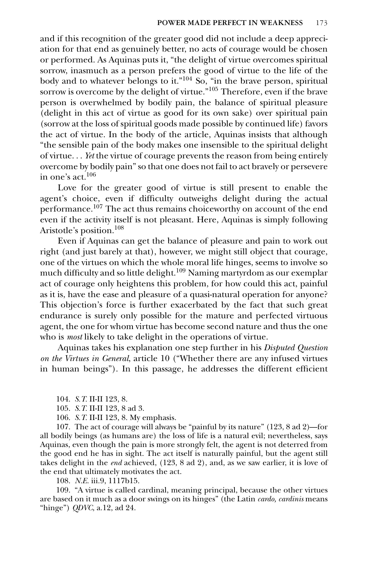and if this recognition of the greater good did not include a deep appreciation for that end as genuinely better, no acts of courage would be chosen or performed. As Aquinas puts it, "the delight of virtue overcomes spiritual sorrow, inasmuch as a person prefers the good of virtue to the life of the body and to whatever belongs to it."<sup>104</sup> So, "in the brave person, spiritual sorrow is overcome by the delight of virtue."<sup>105</sup> Therefore, even if the brave person is overwhelmed by bodily pain, the balance of spiritual pleasure (delight in this act of virtue as good for its own sake) over spiritual pain (sorrow at the loss of spiritual goods made possible by continued life) favors the act of virtue. In the body of the article, Aquinas insists that although "the sensible pain of the body makes one insensible to the spiritual delight of virtue. . . *Yet* the virtue of courage prevents the reason from being entirely overcome by bodily pain" so that one does not fail to act bravely or persevere in one's act.106

Love for the greater good of virtue is still present to enable the agent's choice, even if difficulty outweighs delight during the actual performance.107 The act thus remains choiceworthy on account of the end even if the activity itself is not pleasant. Here, Aquinas is simply following Aristotle's position.<sup>108</sup>

Even if Aquinas can get the balance of pleasure and pain to work out right (and just barely at that), however, we might still object that courage, one of the virtues on which the whole moral life hinges, seems to involve so much difficulty and so little delight.<sup>109</sup> Naming martyrdom as our exemplar act of courage only heightens this problem, for how could this act, painful as it is, have the ease and pleasure of a quasi-natural operation for anyone? This objection's force is further exacerbated by the fact that such great endurance is surely only possible for the mature and perfected virtuous agent, the one for whom virtue has become second nature and thus the one who is *most* likely to take delight in the operations of virtue.

Aquinas takes his explanation one step further in his *Disputed Question on the Virtues in General*, article 10 ("Whether there are any infused virtues in human beings"). In this passage, he addresses the different efficient

104. *S.T.* II-II 123, 8.

105. *S.T.* II-II 123, 8 ad 3.

106. *S.T.* II-II 123, 8. My emphasis.

107. The act of courage will always be "painful by its nature" (123, 8 ad 2)—for all bodily beings (as humans are) the loss of life is a natural evil; nevertheless, says Aquinas, even though the pain is more strongly felt, the agent is not deterred from the good end he has in sight. The act itself is naturally painful, but the agent still takes delight in the *end* achieved, (123, 8 ad 2), and, as we saw earlier, it is love of the end that ultimately motivates the act.

108. *N.E.* iii.9, 1117b15.

109. "A virtue is called cardinal, meaning principal, because the other virtues are based on it much as a door swings on its hinges" (the Latin *cardo, cardinis* means "hinge") *QDVC*, a.12, ad 24.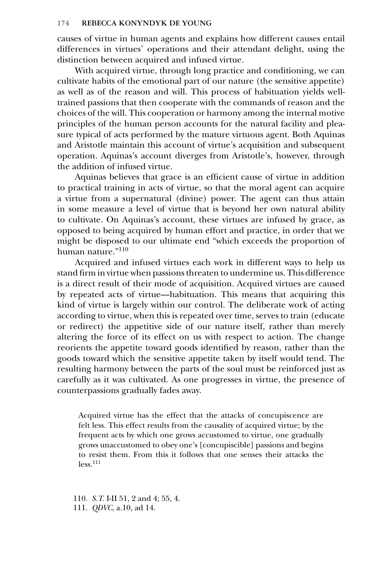causes of virtue in human agents and explains how different causes entail differences in virtues' operations and their attendant delight, using the distinction between acquired and infused virtue.

With acquired virtue, through long practice and conditioning, we can cultivate habits of the emotional part of our nature (the sensitive appetite) as well as of the reason and will. This process of habituation yields welltrained passions that then cooperate with the commands of reason and the choices of the will. This cooperation or harmony among the internal motive principles of the human person accounts for the natural facility and pleasure typical of acts performed by the mature virtuous agent. Both Aquinas and Aristotle maintain this account of virtue's acquisition and subsequent operation. Aquinas's account diverges from Aristotle's, however, through the addition of infused virtue.

Aquinas believes that grace is an efficient cause of virtue in addition to practical training in acts of virtue, so that the moral agent can acquire a virtue from a supernatural (divine) power. The agent can thus attain in some measure a level of virtue that is beyond her own natural ability to cultivate. On Aquinas's account, these virtues are infused by grace, as opposed to being acquired by human effort and practice, in order that we might be disposed to our ultimate end "which exceeds the proportion of human nature."<sup>110</sup>

Acquired and infused virtues each work in different ways to help us stand firm in virtue when passions threaten to undermine us. This difference is a direct result of their mode of acquisition. Acquired virtues are caused by repeated acts of virtue—habituation. This means that acquiring this kind of virtue is largely within our control. The deliberate work of acting according to virtue, when this is repeated over time, serves to train (educate or redirect) the appetitive side of our nature itself, rather than merely altering the force of its effect on us with respect to action. The change reorients the appetite toward goods identified by reason, rather than the goods toward which the sensitive appetite taken by itself would tend. The resulting harmony between the parts of the soul must be reinforced just as carefully as it was cultivated. As one progresses in virtue, the presence of counterpassions gradually fades away.

Acquired virtue has the effect that the attacks of concupiscence are felt less. This effect results from the causality of acquired virtue; by the frequent acts by which one grows accustomed to virtue, one gradually grows unaccustomed to obey one's [concupiscible] passions and begins to resist them. From this it follows that one senses their attacks the  $less.<sup>111</sup>$ 

110. *S.T.* I-II 51, 2 and 4; 55, 4. 111. *QDVC*, a.10, ad 14.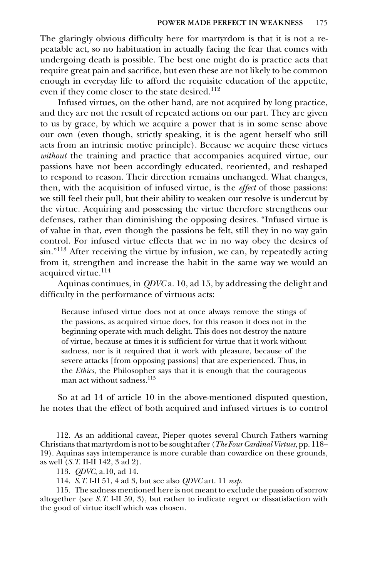The glaringly obvious difficulty here for martyrdom is that it is not a repeatable act, so no habituation in actually facing the fear that comes with undergoing death is possible. The best one might do is practice acts that require great pain and sacrifice, but even these are not likely to be common enough in everyday life to afford the requisite education of the appetite, even if they come closer to the state desired.<sup>112</sup>

Infused virtues, on the other hand, are not acquired by long practice, and they are not the result of repeated actions on our part. They are given to us by grace, by which we acquire a power that is in some sense above our own (even though, strictly speaking, it is the agent herself who still acts from an intrinsic motive principle). Because we acquire these virtues *without* the training and practice that accompanies acquired virtue, our passions have not been accordingly educated, reoriented, and reshaped to respond to reason. Their direction remains unchanged. What changes, then, with the acquisition of infused virtue, is the *effect* of those passions: we still feel their pull, but their ability to weaken our resolve is undercut by the virtue. Acquiring and possessing the virtue therefore strengthens our defenses, rather than diminishing the opposing desires. "Infused virtue is of value in that, even though the passions be felt, still they in no way gain control. For infused virtue effects that we in no way obey the desires of  $\sin$ ."<sup>113</sup> After receiving the virtue by infusion, we can, by repeatedly acting from it, strengthen and increase the habit in the same way we would an acquired virtue.<sup>114</sup>

Aquinas continues, in *QDVC* a. 10, ad 15, by addressing the delight and difficulty in the performance of virtuous acts:

Because infused virtue does not at once always remove the stings of the passions, as acquired virtue does, for this reason it does not in the beginning operate with much delight. This does not destroy the nature of virtue, because at times it is sufficient for virtue that it work without sadness, nor is it required that it work with pleasure, because of the severe attacks [from opposing passions] that are experienced. Thus, in the *Ethics*, the Philosopher says that it is enough that the courageous man act without sadness.<sup>115</sup>

So at ad 14 of article 10 in the above-mentioned disputed question, he notes that the effect of both acquired and infused virtues is to control

112. As an additional caveat, Pieper quotes several Church Fathers warning Christians that martyrdom is not to be sought after (*The Four Cardinal Virtues*, pp. 118– 19). Aquinas says intemperance is more curable than cowardice on these grounds, as well (*S.T.* II-II 142, 3 ad 2).

113. *QDVC*, a.10, ad 14.

114. *S.T.* I-II 51, 4 ad 3, but see also *QDVC* art. 11 *resp*.

115. The sadness mentioned here is not meant to exclude the passion of sorrow altogether (see *S.T.* I-II 59, 3), but rather to indicate regret or dissatisfaction with the good of virtue itself which was chosen.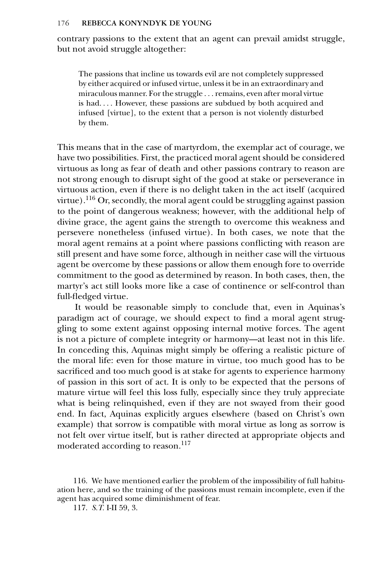contrary passions to the extent that an agent can prevail amidst struggle, but not avoid struggle altogether:

The passions that incline us towards evil are not completely suppressed by either acquired or infused virtue, unless it be in an extraordinary and miraculous manner. For the struggle . . . remains, even after moral virtue is had. . . . However, these passions are subdued by both acquired and infused [virtue], to the extent that a person is not violently disturbed by them.

This means that in the case of martyrdom, the exemplar act of courage, we have two possibilities. First, the practiced moral agent should be considered virtuous as long as fear of death and other passions contrary to reason are not strong enough to disrupt sight of the good at stake or perseverance in virtuous action, even if there is no delight taken in the act itself (acquired virtue).<sup>116</sup> Or, secondly, the moral agent could be struggling against passion to the point of dangerous weakness; however, with the additional help of divine grace, the agent gains the strength to overcome this weakness and persevere nonetheless (infused virtue). In both cases, we note that the moral agent remains at a point where passions conflicting with reason are still present and have some force, although in neither case will the virtuous agent be overcome by these passions or allow them enough fore to override commitment to the good as determined by reason. In both cases, then, the martyr's act still looks more like a case of continence or self-control than full-fledged virtue.

It would be reasonable simply to conclude that, even in Aquinas's paradigm act of courage, we should expect to find a moral agent struggling to some extent against opposing internal motive forces. The agent is not a picture of complete integrity or harmony—at least not in this life. In conceding this, Aquinas might simply be offering a realistic picture of the moral life: even for those mature in virtue, too much good has to be sacrificed and too much good is at stake for agents to experience harmony of passion in this sort of act. It is only to be expected that the persons of mature virtue will feel this loss fully, especially since they truly appreciate what is being relinquished, even if they are not swayed from their good end. In fact, Aquinas explicitly argues elsewhere (based on Christ's own example) that sorrow is compatible with moral virtue as long as sorrow is not felt over virtue itself, but is rather directed at appropriate objects and moderated according to reason.<sup>117</sup>

116. We have mentioned earlier the problem of the impossibility of full habituation here, and so the training of the passions must remain incomplete, even if the agent has acquired some diminishment of fear.

117. *S.T.* I-II 59, 3.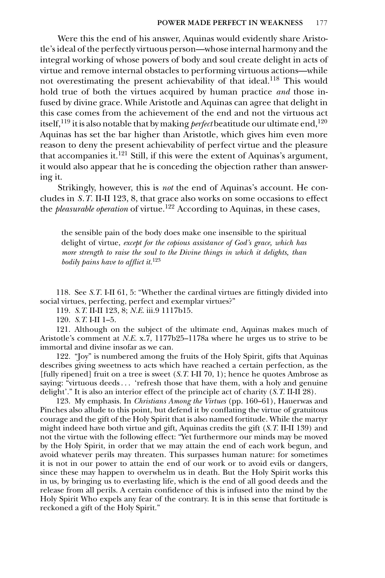Were this the end of his answer, Aquinas would evidently share Aristotle's ideal of the perfectly virtuous person—whose internal harmony and the integral working of whose powers of body and soul create delight in acts of virtue and remove internal obstacles to performing virtuous actions—while not overestimating the present achievability of that ideal.<sup>118</sup> This would hold true of both the virtues acquired by human practice *and* those infused by divine grace. While Aristotle and Aquinas can agree that delight in this case comes from the achievement of the end and not the virtuous act itself,<sup>119</sup> it is also notable that by making *perfect* beatitude our ultimate end,<sup>120</sup> Aquinas has set the bar higher than Aristotle, which gives him even more reason to deny the present achievability of perfect virtue and the pleasure that accompanies it.<sup>121</sup> Still, if this were the extent of Aquinas's argument, it would also appear that he is conceding the objection rather than answering it.

Strikingly, however, this is *not* the end of Aquinas's account. He concludes in *S*.*T*. II-II 123, 8, that grace also works on some occasions to effect the *pleasurable operation* of virtue.<sup>122</sup> According to Aquinas, in these cases,

the sensible pain of the body does make one insensible to the spiritual delight of virtue, *except for the copious assistance of God's grace, which has more strength to raise the soul to the Divine things in which it delights, than bodily pains have to afflict it.*<sup>123</sup>

118. See *S.T*. I-II 61, 5: "Whether the cardinal virtues are fittingly divided into social virtues, perfecting, perfect and exemplar virtues?"

119. *S.T.* II-II 123, 8; *N.E.* iii.9 1117b15.

120. *S.T.* I-II 1–5.

121. Although on the subject of the ultimate end, Aquinas makes much of Aristotle's comment at *N.E.* x.7, 1177b25–1178a where he urges us to strive to be immortal and divine insofar as we can.

122. "Joy" is numbered among the fruits of the Holy Spirit, gifts that Aquinas describes giving sweetness to acts which have reached a certain perfection, as the [fully ripened] fruit on a tree is sweet (*S.T.* I-II 70, 1); hence he quotes Ambrose as saying: "virtuous deeds . . . 'refresh those that have them, with a holy and genuine delight'." It is also an interior effect of the principle act of charity (*S.T.* II-II 28).

123. My emphasis. In *Christians Among the Virtues* (pp. 160–61), Hauerwas and Pinches also allude to this point, but defend it by conflating the virtue of gratuitous courage and the gift of the Holy Spirit that is also named fortitude. While the martyr might indeed have both virtue and gift, Aquinas credits the gift (*S.T.* II-II 139) and not the virtue with the following effect: "Yet furthermore our minds may be moved by the Holy Spirit, in order that we may attain the end of each work begun, and avoid whatever perils may threaten. This surpasses human nature: for sometimes it is not in our power to attain the end of our work or to avoid evils or dangers, since these may happen to overwhelm us in death. But the Holy Spirit works this in us, by bringing us to everlasting life, which is the end of all good deeds and the release from all perils. A certain confidence of this is infused into the mind by the Holy Spirit Who expels any fear of the contrary. It is in this sense that fortitude is reckoned a gift of the Holy Spirit."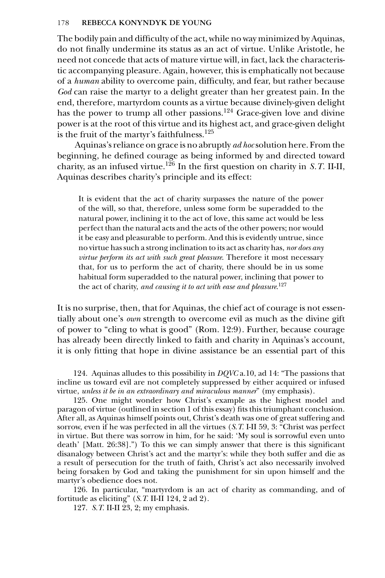The bodily pain and difficulty of the act, while no way minimized by Aquinas, do not finally undermine its status as an act of virtue. Unlike Aristotle, he need not concede that acts of mature virtue will, in fact, lack the characteristic accompanying pleasure. Again, however, this is emphatically not because of a *human* ability to overcome pain, difficulty, and fear, but rather because *God* can raise the martyr to a delight greater than her greatest pain. In the end, therefore, martyrdom counts as a virtue because divinely-given delight has the power to trump all other passions.<sup>124</sup> Grace-given love and divine power is at the root of this virtue and its highest act, and grace-given delight is the fruit of the martyr's faithfulness. $125$ 

Aquinas's reliance on grace is no abruptly *ad hoc*solution here. From the beginning, he defined courage as being informed by and directed toward charity, as an infused virtue.<sup>126</sup> In the first question on charity in *S.T.* II-II, Aquinas describes charity's principle and its effect:

It is evident that the act of charity surpasses the nature of the power of the will, so that, therefore, unless some form be superadded to the natural power, inclining it to the act of love, this same act would be less perfect than the natural acts and the acts of the other powers; nor would it be easy and pleasurable to perform. And this is evidently untrue, since no virtue has such a strong inclination to its act as charity has, *nor does any virtue perform its act with such great pleasure*. Therefore it most necessary that, for us to perform the act of charity, there should be in us some habitual form superadded to the natural power, inclining that power to the act of charity, *and causing it to act with ease and pleasure*. 127

It is no surprise, then, that for Aquinas, the chief act of courage is not essentially about one's *own* strength to overcome evil as much as the divine gift of power to "cling to what is good" (Rom. 12:9). Further, because courage has already been directly linked to faith and charity in Aquinas's account, it is only fitting that hope in divine assistance be an essential part of this

124. Aquinas alludes to this possibility in *DQVC* a.10, ad 14: "The passions that incline us toward evil are not completely suppressed by either acquired or infused virtue, *unless it be in an extraordinary and miraculous manner*" (my emphasis).

125. One might wonder how Christ's example as the highest model and paragon of virtue (outlined in section 1 of this essay) fits this triumphant conclusion. After all, as Aquinas himself points out, Christ's death was one of great suffering and sorrow, even if he was perfected in all the virtues (*S.T.* I-II 59, 3: "Christ was perfect in virtue. But there was sorrow in him, for he said: 'My soul is sorrowful even unto death' [Matt. 26:38].") To this we can simply answer that there is this significant disanalogy between Christ's act and the martyr's: while they both suffer and die as a result of persecution for the truth of faith, Christ's act also necessarily involved being forsaken by God and taking the punishment for sin upon himself and the martyr's obedience does not.

126. In particular, "martyrdom is an act of charity as commanding, and of fortitude as eliciting" (*S.T.* II-II 124, 2 ad 2).

127. *S.T.* II-II 23, 2; my emphasis.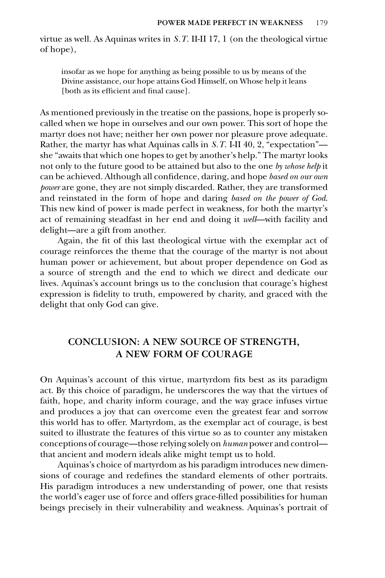virtue as well. As Aquinas writes in *S*.*T*. II-II 17, 1 (on the theological virtue of hope),

insofar as we hope for anything as being possible to us by means of the Divine assistance, our hope attains God Himself, on Whose help it leans [both as its efficient and final cause].

As mentioned previously in the treatise on the passions, hope is properly socalled when we hope in ourselves and our own power. This sort of hope the martyr does not have; neither her own power nor pleasure prove adequate. Rather, the martyr has what Aquinas calls in *S*.*T*. I-II 40, 2, "expectation" she "awaits that which one hopes to get by another's help." The martyr looks not only to the future good to be attained but also to the one *by whose help* it can be achieved. Although all confidence, daring, and hope *based on our own power* are gone, they are not simply discarded. Rather, they are transformed and reinstated in the form of hope and daring *based on the power of God*. This new kind of power is made perfect in weakness, for both the martyr's act of remaining steadfast in her end and doing it *well*—with facility and delight—are a gift from another.

Again, the fit of this last theological virtue with the exemplar act of courage reinforces the theme that the courage of the martyr is not about human power or achievement, but about proper dependence on God as a source of strength and the end to which we direct and dedicate our lives. Aquinas's account brings us to the conclusion that courage's highest expression is fidelity to truth, empowered by charity, and graced with the delight that only God can give.

# **CONCLUSION: A NEW SOURCE OF STRENGTH, A NEW FORM OF COURAGE**

On Aquinas's account of this virtue, martyrdom fits best as its paradigm act. By this choice of paradigm, he underscores the way that the virtues of faith, hope, and charity inform courage, and the way grace infuses virtue and produces a joy that can overcome even the greatest fear and sorrow this world has to offer. Martyrdom, as the exemplar act of courage, is best suited to illustrate the features of this virtue so as to counter any mistaken conceptions of courage—those relying solely on *human* power and control that ancient and modern ideals alike might tempt us to hold.

Aquinas's choice of martyrdom as his paradigm introduces new dimensions of courage and redefines the standard elements of other portraits. His paradigm introduces a new understanding of power, one that resists the world's eager use of force and offers grace-filled possibilities for human beings precisely in their vulnerability and weakness. Aquinas's portrait of